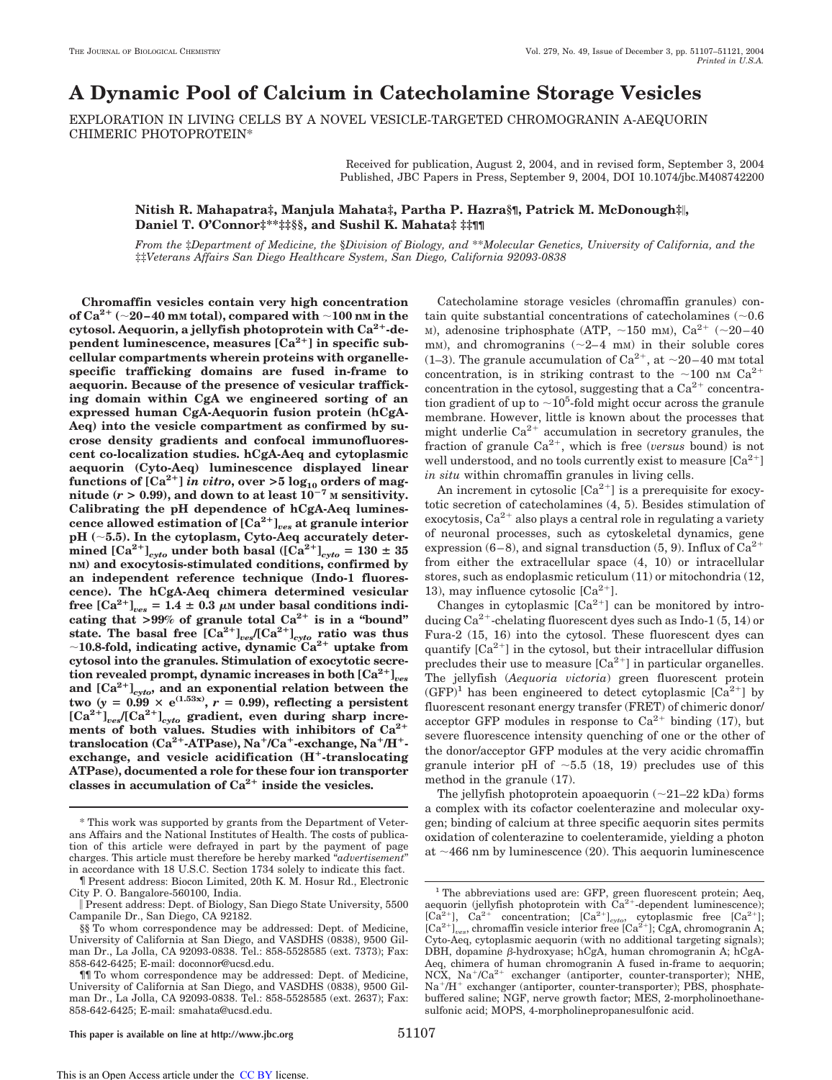# **A Dynamic Pool of Calcium in Catecholamine Storage Vesicles**

EXPLORATION IN LIVING CELLS BY A NOVEL VESICLE-TARGETED CHROMOGRANIN A-AEQUORIN CHIMERIC PHOTOPROTEIN\*

> Received for publication, August 2, 2004, and in revised form, September 3, 2004 Published, JBC Papers in Press, September 9, 2004, DOI 10.1074/jbc.M408742200

## **Nitish R. Mahapatra‡, Manjula Mahata‡, Partha P. Hazra§¶, Patrick M. McDonough‡, Daniel T. O'Connor‡\*\*‡‡§§, and Sushil K. Mahata‡ ‡‡¶¶**

*From the* ‡*Department of Medicine, the* §*Division of Biology, and* \*\**Molecular Genetics, University of California, and the* ‡‡*Veterans Affairs San Diego Healthcare System, San Diego, California 92093-0838*

**Chromaffin vesicles contain very high concentration of** Ca<sup>2+</sup> ( $\sim$ 20–40 mm total), compared with  $\sim$ 100 nm in the cytosol. Aequorin, a jellyfish photoprotein with Ca<sup>2+</sup>-de**pendent luminescence, measures [Ca2 ] in specific subcellular compartments wherein proteins with organellespecific trafficking domains are fused in-frame to aequorin. Because of the presence of vesicular trafficking domain within CgA we engineered sorting of an expressed human CgA-Aequorin fusion protein (hCgA-Aeq) into the vesicle compartment as confirmed by sucrose density gradients and confocal immunofluorescent co-localization studies. hCgA-Aeq and cytoplasmic aequorin (Cyto-Aeq) luminescence displayed linear**  ${\bf function}$  of  ${\bf [Ca^{2+}] \textit{ in vitro, over $>5$} \textit{log}_{10}$}$  orders of mag**nitude** ( $r > 0.99$ ), and down to at least  $10^{-7}$  M sensitivity. **Calibrating the pH dependence of hCgA-Aeq luminescence allowed estimation of [Ca2 ]***ves* **at granule interior pH (5.5). In the cytoplasm, Cyto-Aeq accurately determined**  $[Ca^{2+}]_{cyto}$  **under both basal**  $([Ca^{2+}]_{cyto} = 130 \pm 35$ **nM) and exocytosis-stimulated conditions, confirmed by an independent reference technique (Indo-1 fluorescence). The hCgA-Aeq chimera determined vesicular** free  $[Ca^{2+}]_{ves} = 1.4 \pm 0.3 \mu$ M under basal conditions indicating that  $>99\%$  of granule total  $Ca^{2+}$  is in a "bound" state. The basal free  $\left[\text{Ca}^{2+}\right]_{\text{ves}}/\left[\text{Ca}^{2+}\right]_{\text{cyto}}$  ratio was thus **10.8-fold, indicating active, dynamic Ca2 uptake from cytosol into the granules. Stimulation of exocytotic secretion revealed prompt, dynamic increases in both [Ca2 ]***ves* **and [Ca2 ]***cyto***, and an exponential relation between the**  $\tan{y} = 0.99 \times e^{(1.53x)}$ ,  $r = 0.99$ ), reflecting a persistent  $[Ca^{2+}]_{ves}/[Ca^{2+}]_{cyto}$  gradient, even during sharp incre**ments of both values. Studies with inhibitors of Ca2 translocation** (Ca<sup>2+</sup>-ATPase), Na<sup>+</sup>/Ca<sup>+</sup>-exchange, Na<sup>+</sup>/H<sup>+</sup>exchange, and vesicle acidification (H<sup>+</sup>-translocating **ATPase), documented a role for these four ion transporter classes in accumulation of Ca2 inside the vesicles.**

Catecholamine storage vesicles (chromaffin granules) contain quite substantial concentrations of catecholamines  $(\sim 0.6$ M), adenosine triphosphate (ATP,  $\sim$ 150 mM), Ca<sup>2+</sup> ( $\sim$ 20-40 mM), and chromogranins  $(\sim 2-4$  mM) in their soluble cores (1–3). The granule accumulation of  $Ca^{2+}$ , at  $\sim$ 20–40 mm total concentration, is in striking contrast to the  $\sim$ 100 nM Ca<sup>2+</sup> concentration in the cytosol, suggesting that a  $Ca^{2+}$  concentration gradient of up to  $\sim$  10<sup>5</sup>-fold might occur across the granule membrane. However, little is known about the processes that might underlie  $Ca^{2+}$  accumulation in secretory granules, the fraction of granule Ca<sup>2+</sup>, which is free (*versus* bound) is not well understood, and no tools currently exist to measure  $[Ca^{2+}]$ *in situ* within chromaffin granules in living cells.

An increment in cytosolic  $[Ca^{2+}]$  is a prerequisite for exocytotic secretion of catecholamines (4, 5). Besides stimulation of exocytosis,  $Ca^{2+}$  also plays a central role in regulating a variety of neuronal processes, such as cytoskeletal dynamics, gene expression (6–8), and signal transduction (5, 9). Influx of  $Ca^{2+}$ from either the extracellular space (4, 10) or intracellular stores, such as endoplasmic reticulum (11) or mitochondria (12, 13), may influence cytosolic  $[Ca^{2+}].$ 

Changes in cytoplasmic  $[Ca^{2+}]$  can be monitored by introducing  $Ca^{2+}$ -chelating fluorescent dyes such as Indo-1 (5, 14) or Fura-2 (15, 16) into the cytosol. These fluorescent dyes can quantify  $[Ca^{2+}]$  in the cytosol, but their intracellular diffusion precludes their use to measure  $[Ca^{2+}]$  in particular organelles. The jellyfish (*Aequoria victoria*) green fluorescent protein  $(GFP)^1$  has been engineered to detect cytoplasmic  $[Ca^{2+}]$  by fluorescent resonant energy transfer (FRET) of chimeric donor/ acceptor GFP modules in response to  $Ca^{2+}$  binding (17), but severe fluorescence intensity quenching of one or the other of the donor/acceptor GFP modules at the very acidic chromaffin granule interior pH of  $\sim$  5.5 (18, 19) precludes use of this method in the granule (17).

The jellyfish photoprotein apoaequorin  $(\sim 21-22$  kDa) forms a complex with its cofactor coelenterazine and molecular oxygen; binding of calcium at three specific aequorin sites permits oxidation of colenterazine to coelenteramide, yielding a photon at  $\sim$ 466 nm by luminescence (20). This aequorin luminescence

<sup>\*</sup> This work was supported by grants from the Department of Veterans Affairs and the National Institutes of Health. The costs of publication of this article were defrayed in part by the payment of page charges. This article must therefore be hereby marked "*advertisement*" in accordance with 18 U.S.C. Section 1734 solely to indicate this fact.

<sup>¶</sup> Present address: Biocon Limited, 20th K. M. Hosur Rd., Electronic City P. O. Bangalore-560100, India.

Present address: Dept. of Biology, San Diego State University, 5500 Campanile Dr., San Diego, CA 92182.

<sup>§§</sup> To whom correspondence may be addressed: Dept. of Medicine, University of California at San Diego, and VASDHS (0838), 9500 Gilman Dr., La Jolla, CA 92093-0838. Tel.: 858-5528585 (ext. 7373); Fax: 858-642-6425; E-mail: doconnor@ucsd.edu.

<sup>¶¶</sup> To whom correspondence may be addressed: Dept. of Medicine, University of California at San Diego, and VASDHS (0838), 9500 Gilman Dr., La Jolla, CA 92093-0838. Tel.: 858-5528585 (ext. 2637); Fax: 858-642-6425; E-mail: smahata@ucsd.edu.

<sup>&</sup>lt;sup>1</sup> The abbreviations used are: GFP, green fluorescent protein; Aeq, aequorin (jellyfish photoprotein with  $\text{Ca}^{2+}$ -dependent luminescence);<br>[Ca<sup>2+</sup>], Ca<sup>2+</sup> concentration; [Ca<sup>2+</sup>]<sub>cyto</sub>, cytoplasmic free [Ca<sup>2+</sup>]; [Ca<sup>2+</sup>]<sub>ves</sub>, chromaffin vesicle interior free [Ca<sup>2+</sup>]; CgA, chromogranin A; Cyto-Aeq, cytoplasmic aequorin (with no additional targeting signals); DBH, dopamine  $\beta$ -hydroxyase; hCgA, human chromogranin A; hCgA-Aeq, chimera of human chromogranin A fused in-frame to aequorin; NCX, Na<sup>+</sup>/Ca<sup>2+</sup> exchanger (antiporter, counter-transporter); NHE, Na<sup>+</sup>/H<sup>+</sup> exchanger (antiporter, counter-transporter); PBS, phosphatebuffered saline; NGF, nerve growth factor; MES, 2-morpholinoethanesulfonic acid; MOPS, 4-morpholinepropanesulfonic acid.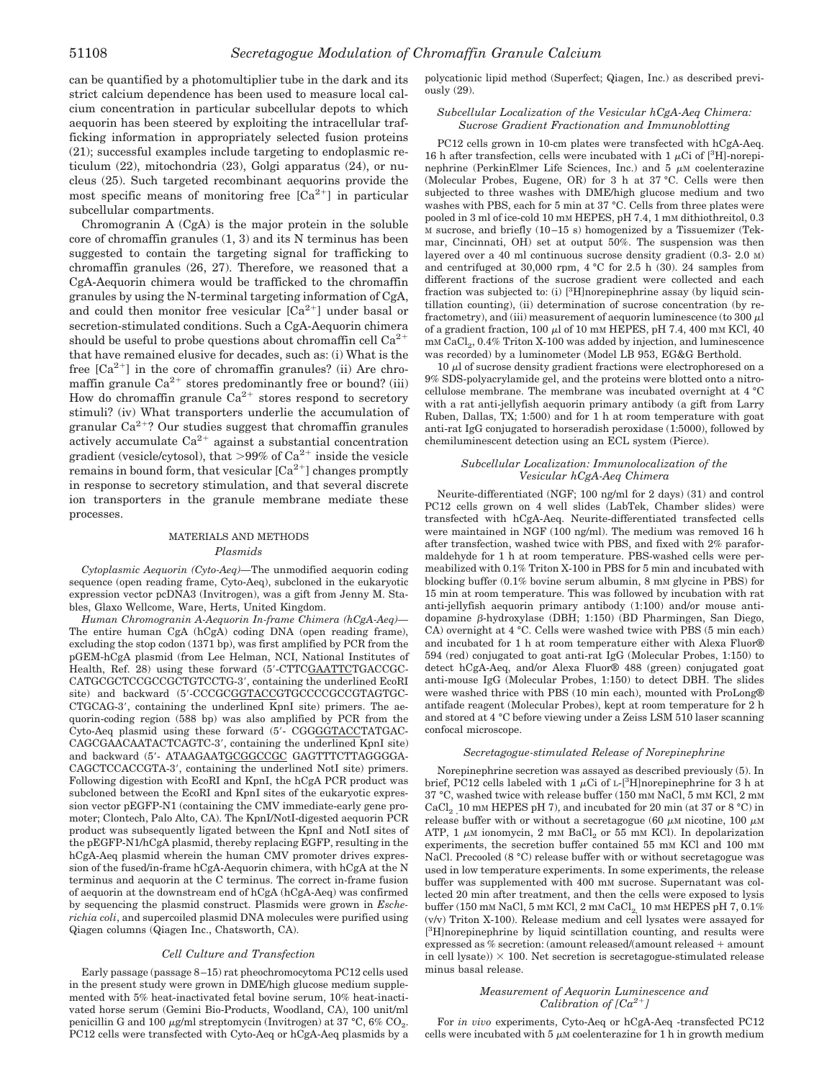can be quantified by a photomultiplier tube in the dark and its strict calcium dependence has been used to measure local calcium concentration in particular subcellular depots to which aequorin has been steered by exploiting the intracellular trafficking information in appropriately selected fusion proteins (21); successful examples include targeting to endoplasmic reticulum (22), mitochondria (23), Golgi apparatus (24), or nucleus (25). Such targeted recombinant aequorins provide the most specific means of monitoring free  $[Ca^{2+}]$  in particular subcellular compartments.

Chromogranin A (CgA) is the major protein in the soluble core of chromaffin granules (1, 3) and its N terminus has been suggested to contain the targeting signal for trafficking to chromaffin granules (26, 27). Therefore, we reasoned that a CgA-Aequorin chimera would be trafficked to the chromaffin granules by using the N-terminal targeting information of CgA, and could then monitor free vesicular  $[Ca^{2+}]$  under basal or secretion-stimulated conditions. Such a CgA-Aequorin chimera should be useful to probe questions about chromaffin cell  $Ca^{2+}$ that have remained elusive for decades, such as: (i) What is the free  $[Ca^{2+}]$  in the core of chromaffin granules? (ii) Are chromaffin granule  $Ca^{2+}$  stores predominantly free or bound? (iii) How do chromaffin granule  $Ca^{2+}$  stores respond to secretory stimuli? (iv) What transporters underlie the accumulation of granular  $Ca^{2+}$ ? Our studies suggest that chromaffin granules actively accumulate  $Ca^{2+}$  against a substantial concentration gradient (vesicle/cytosol), that >99% of  $Ca^{2+}$  inside the vesicle remains in bound form, that vesicular  $[Ca^{2+}]$  changes promptly in response to secretory stimulation, and that several discrete ion transporters in the granule membrane mediate these processes.

## MATERIALS AND METHODS *Plasmids*

*Cytoplasmic Aequorin (Cyto-Aeq)—*The unmodified aequorin coding sequence (open reading frame, Cyto-Aeq), subcloned in the eukaryotic expression vector pcDNA3 (Invitrogen), was a gift from Jenny M. Stables, Glaxo Wellcome, Ware, Herts, United Kingdom.

*Human Chromogranin A-Aequorin In-frame Chimera (hCgA-Aeq)—* The entire human CgA (hCgA) coding DNA (open reading frame), excluding the stop codon (1371 bp), was first amplified by PCR from the pGEM-hCgA plasmid (from Lee Helman, NCI, National Institutes of Health, Ref. 28) using these forward (5-CTTCGAATTCTGACCGC-CATGCGCTCCGCCGCTGTCCTG-3', containing the underlined EcoRI site) and backward (5'-CCCGCGGTACCGTGCCCCGCCGTAGTGC-CTGCAG-3, containing the underlined KpnI site) primers. The aequorin-coding region (588 bp) was also amplified by PCR from the Cyto-Aeq plasmid using these forward (5- CGGGGTACCTATGAC-CAGCGAACAATACTCAGTC-3, containing the underlined KpnI site) and backward (5'- ATAAGAATGCGGCCGC GAGTTTCTTAGGGGA-CAGCTCCACCGTA-3, containing the underlined NotI site) primers. Following digestion with EcoRI and KpnI, the hCgA PCR product was subcloned between the EcoRI and KpnI sites of the eukaryotic expression vector pEGFP-N1 (containing the CMV immediate-early gene promoter; Clontech, Palo Alto, CA). The KpnI/NotI-digested aequorin PCR product was subsequently ligated between the KpnI and NotI sites of the pEGFP-N1/hCgA plasmid, thereby replacing EGFP, resulting in the hCgA-Aeq plasmid wherein the human CMV promoter drives expression of the fused/in-frame hCgA-Aequorin chimera, with hCgA at the N terminus and aequorin at the C terminus. The correct in-frame fusion of aequorin at the downstream end of hCgA (hCgA-Aeq) was confirmed by sequencing the plasmid construct. Plasmids were grown in *Escherichia coli*, and supercoiled plasmid DNA molecules were purified using Qiagen columns (Qiagen Inc., Chatsworth, CA).

## *Cell Culture and Transfection*

Early passage (passage 8–15) rat pheochromocytoma PC12 cells used in the present study were grown in DME/high glucose medium supplemented with 5% heat-inactivated fetal bovine serum, 10% heat-inactivated horse serum (Gemini Bio-Products, Woodland, CA), 100 unit/ml penicillin G and 100  $\mu$ g/ml streptomycin (Invitrogen) at 37 °C, 6% CO<sub>2</sub>. PC12 cells were transfected with Cyto-Aeq or hCgA-Aeq plasmids by a polycationic lipid method (Superfect; Qiagen, Inc.) as described previously (29).

## *Subcellular Localization of the Vesicular hCgA-Aeq Chimera: Sucrose Gradient Fractionation and Immunoblotting*

PC12 cells grown in 10-cm plates were transfected with hCgA-Aeq. 16 h after transfection, cells were incubated with 1  $\mu$ Ci of [<sup>3</sup>H]-norepinephrine (PerkinElmer Life Sciences, Inc.) and  $5 \mu$ M coelenterazine (Molecular Probes, Eugene, OR) for 3 h at 37 °C. Cells were then subjected to three washes with DME/high glucose medium and two washes with PBS, each for 5 min at 37 °C. Cells from three plates were pooled in 3 ml of ice-cold 10 mM HEPES, pH 7.4, 1 mM dithiothreitol, 0.3 M sucrose, and briefly (10–15 s) homogenized by a Tissuemizer (Tekmar, Cincinnati, OH) set at output 50%. The suspension was then layered over a 40 ml continuous sucrose density gradient (0.3- 2.0 M) and centrifuged at 30,000 rpm, 4 °C for 2.5 h (30). 24 samples from different fractions of the sucrose gradient were collected and each fraction was subjected to: (i) [3H]norepinephrine assay (by liquid scintillation counting), (ii) determination of sucrose concentration (by refractometry), and (iii) measurement of aequorin luminescence (to 300  $\mu$ l of a gradient fraction, 100  $\mu$ l of 10 mm HEPES, pH 7.4, 400 mm KCl, 40  $\rm{mm~CaCl}_{2}, 0.4\%$  Triton X-100 was added by injection, and luminescence was recorded) by a luminometer (Model LB 953, EG&G Berthold.

 $10 \mu$ l of sucrose density gradient fractions were electrophoresed on a 9% SDS-polyacrylamide gel, and the proteins were blotted onto a nitrocellulose membrane. The membrane was incubated overnight at 4 °C with a rat anti-jellyfish aequorin primary antibody (a gift from Larry Ruben, Dallas, TX; 1:500) and for 1 h at room temperature with goat anti-rat IgG conjugated to horseradish peroxidase (1:5000), followed by chemiluminescent detection using an ECL system (Pierce).

## *Subcellular Localization: Immunolocalization of the Vesicular hCgA-Aeq Chimera*

Neurite-differentiated (NGF; 100 ng/ml for 2 days) (31) and control PC12 cells grown on 4 well slides (LabTek, Chamber slides) were transfected with hCgA-Aeq. Neurite-differentiated transfected cells were maintained in NGF (100 ng/ml). The medium was removed 16 h after transfection, washed twice with PBS, and fixed with 2% paraformaldehyde for 1 h at room temperature. PBS-washed cells were permeabilized with 0.1% Triton X-100 in PBS for 5 min and incubated with blocking buffer (0.1% bovine serum albumin, 8 mM glycine in PBS) for 15 min at room temperature. This was followed by incubation with rat anti-jellyfish aequorin primary antibody (1:100) and/or mouse antidopamine  $\beta$ -hydroxylase (DBH; 1:150) (BD Pharmingen, San Diego, CA) overnight at 4 °C. Cells were washed twice with PBS (5 min each) and incubated for 1 h at room temperature either with Alexa Fluor® 594 (red) conjugated to goat anti-rat IgG (Molecular Probes, 1:150) to detect hCgA-Aeq, and/or Alexa Fluor® 488 (green) conjugated goat anti-mouse IgG (Molecular Probes, 1:150) to detect DBH. The slides were washed thrice with PBS (10 min each), mounted with ProLong® antifade reagent (Molecular Probes), kept at room temperature for 2 h and stored at 4 °C before viewing under a Zeiss LSM 510 laser scanning confocal microscope.

## *Secretagogue-stimulated Release of Norepinephrine*

Norepinephrine secretion was assayed as described previously (5). In brief, PC12 cells labeled with 1  $\mu$ Ci of L-[<sup>3</sup>H]norepinephrine for 3 h at 37 °C, washed twice with release buffer (150 mM NaCl, 5 mM KCl, 2 mM CaCl<sub>2</sub> ,10 mM HEPES pH 7), and incubated for 20 min (at 37 or 8 °C) in release buffer with or without a secretagogue (60  $\mu$ M nicotine, 100  $\mu$ M ATP, 1  $\mu$ M ionomycin, 2 mM  $BaCl<sub>2</sub>$  or 55 mM KCl). In depolarization experiments, the secretion buffer contained 55 mM KCl and 100 mM NaCl. Precooled (8 °C) release buffer with or without secretagogue was used in low temperature experiments. In some experiments, the release buffer was supplemented with 400 mM sucrose. Supernatant was collected 20 min after treatment, and then the cells were exposed to lysis buffer (150 mm NaCl, 5 mm KCl, 2 mm CaCl<sub>2</sub> 10 mm HEPES pH  $7,0.1\%$ (v/v) Triton X-100). Release medium and cell lysates were assayed for [<sup>3</sup>H]norepinephrine by liquid scintillation counting, and results were expressed as % secretion: (amount released/(amount released + amount in cell lysate))  $\times$  100. Net secretion is secretagogue-stimulated release minus basal release.

## *Measurement of Aequorin Luminescence and* Calibration of [Ca<sup>2+</sup>]

For *in vivo* experiments, Cyto-Aeq or hCgA-Aeq -transfected PC12 cells were incubated with  $5 \mu$ M coelenterazine for 1 h in growth medium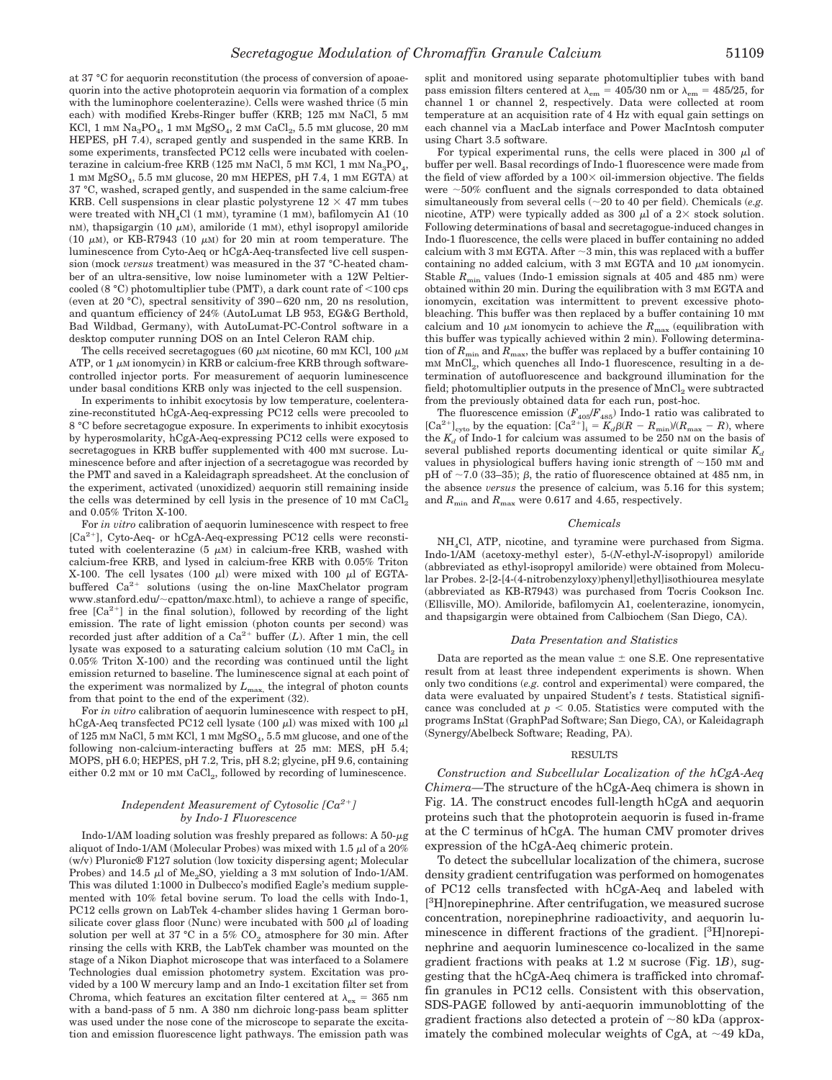at 37 °C for aequorin reconstitution (the process of conversion of apoaequorin into the active photoprotein aequorin via formation of a complex with the luminophore coelenterazine). Cells were washed thrice (5 min each) with modified Krebs-Ringer buffer (KRB; 125 mm NaCl, 5 mm KCl, 1 mm  $\mathrm{Na_3PO_4}$ , 1 mm  $\mathrm{MgSO_4}$ , 2 mm  $\mathrm{CaCl_2}$ , 5.5 mm glucose, 20 mm HEPES, pH 7.4), scraped gently and suspended in the same KRB. In some experiments, transfected PC12 cells were incubated with coelenterazine in calcium-free KRB (125 mm NaCl, 5 mm KCl, 1 mm  $\rm Na_{3}PO_{4},$ 1 m<sup>M</sup> MgSO<sup>4</sup> , 5.5 mM glucose, 20 mM HEPES, pH 7.4, 1 mM EGTA) at 37 °C, washed, scraped gently, and suspended in the same calcium-free KRB. Cell suspensions in clear plastic polystyrene  $12 \times 47$  mm tubes were treated with NH4Cl (1 mM), tyramine (1 mM), bafilomycin A1 (10 nM), thapsigargin (10  $\mu$ M), amiloride (1 mM), ethyl isopropyl amiloride (10  $\mu$ M), or KB-R7943 (10  $\mu$ M) for 20 min at room temperature. The luminescence from Cyto-Aeq or hCgA-Aeq-transfected live cell suspension (mock *versus* treatment) was measured in the 37 °C-heated chamber of an ultra-sensitive, low noise luminometer with a 12W Peltiercooled (8 °C) photomultiplier tube (PMT), a dark count rate of  $<$ 100 cps (even at 20 °C), spectral sensitivity of 390–620 nm, 20 ns resolution, and quantum efficiency of 24% (AutoLumat LB 953, EG&G Berthold, Bad Wildbad, Germany), with AutoLumat-PC-Control software in a desktop computer running DOS on an Intel Celeron RAM chip.

The cells received secretagogues (60  $\mu$ M nicotine, 60 mM KCl, 100  $\mu$ M ATP, or  $1 \mu$ M ionomycin) in KRB or calcium-free KRB through softwarecontrolled injector ports. For measurement of aequorin luminescence under basal conditions KRB only was injected to the cell suspension.

In experiments to inhibit exocytosis by low temperature, coelenterazine-reconstituted hCgA-Aeq-expressing PC12 cells were precooled to 8 °C before secretagogue exposure. In experiments to inhibit exocytosis by hyperosmolarity, hCgA-Aeq-expressing PC12 cells were exposed to secretagogues in KRB buffer supplemented with 400 mM sucrose. Luminescence before and after injection of a secretagogue was recorded by the PMT and saved in a Kaleidagraph spreadsheet. At the conclusion of the experiment, activated (unoxidized) aequorin still remaining inside the cells was determined by cell lysis in the presence of 10 mm  $CaCl<sub>2</sub>$ and 0.05% Triton X-100.

For *in vitro* calibration of aequorin luminescence with respect to free [Ca<sup>2+</sup>], Cyto-Aeq- or hCgA-Aeq-expressing PC12 cells were reconstituted with coelenterazine  $(5 \mu M)$  in calcium-free KRB, washed with calcium-free KRB, and lysed in calcium-free KRB with 0.05% Triton X-100. The cell lysates (100  $\mu$ l) were mixed with 100  $\mu$ l of EGTAbuffered  $Ca^{2+}$  solutions (using the on-line MaxChelator program www.stanford.edu/~cpatton/maxc.html), to achieve a range of specific, free  $[Ca^{2+}]$  in the final solution), followed by recording of the light emission. The rate of light emission (photon counts per second) was recorded just after addition of a  $Ca^{2+}$  buffer  $(L)$ . After 1 min, the cell lysate was exposed to a saturating calcium solution (10 mm  $\mathrm{CaCl}_{2}$  in 0.05% Triton X-100) and the recording was continued until the light emission returned to baseline. The luminescence signal at each point of the experiment was normalized by  $L_{\text{max}}$ , the integral of photon counts from that point to the end of the experiment (32).

For *in vitro* calibration of aequorin luminescence with respect to pH, hCgA-Aeq transfected PC12 cell lysate  $(100 \mu l)$  was mixed with 100  $\mu$ l of 125 mm NaCl, 5 mm KCl, 1 mm  $\rm{MgSO}_{4},$  5.5 mm glucose, and one of the following non-calcium-interacting buffers at 25 mM: MES, pH 5.4; MOPS, pH 6.0; HEPES, pH 7.2, Tris, pH 8.2; glycine, pH 9.6, containing either 0.2 mm or 10 mm CaCl<sub>2</sub>, followed by recording of luminescence.

## *Independent Measurement of Cytosolic [Ca2*- *] by Indo-1 Fluorescence*

Indo-1/AM loading solution was freshly prepared as follows: A  $50$ - $\mu$ g aliquot of Indo-1/AM (Molecular Probes) was mixed with 1.5  $\mu$ l of a 20% (w/v) Pluronic® F127 solution (low toxicity dispersing agent; Molecular Probes) and 14.5  $\mu$ l of Me<sub>2</sub>SO, yielding a 3 mm solution of Indo-1/AM. This was diluted 1:1000 in Dulbecco's modified Eagle's medium supplemented with 10% fetal bovine serum. To load the cells with Indo-1, PC12 cells grown on LabTek 4-chamber slides having 1 German borosilicate cover glass floor (Nunc) were incubated with 500  $\mu$ l of loading solution per well at 37 °C in a 5%  $CO<sub>2</sub>$  atmosphere for 30 min. After rinsing the cells with KRB, the LabTek chamber was mounted on the stage of a Nikon Diaphot microscope that was interfaced to a Solamere Technologies dual emission photometry system. Excitation was provided by a 100 W mercury lamp and an Indo-1 excitation filter set from Chroma, which features an excitation filter centered at  $\lambda_{\rm ex} = 365$  nm with a band-pass of 5 nm. A 380 nm dichroic long-pass beam splitter was used under the nose cone of the microscope to separate the excitation and emission fluorescence light pathways. The emission path was

split and monitored using separate photomultiplier tubes with band pass emission filters centered at  $\lambda_{\rm em} = 405/30$  nm or  $\lambda_{\rm em} = 485/25$ , for channel 1 or channel 2, respectively. Data were collected at room temperature at an acquisition rate of 4 Hz with equal gain settings on each channel via a MacLab interface and Power MacIntosh computer using Chart 3.5 software.

For typical experimental runs, the cells were placed in 300  $\mu$ l of buffer per well. Basal recordings of Indo-1 fluorescence were made from the field of view afforded by a  $100 \times$  oil-immersion objective. The fields were  $~50\%$  confluent and the signals corresponded to data obtained simultaneously from several cells ( $\sim$ 20 to 40 per field). Chemicals (*e.g.* nicotine, ATP) were typically added as 300  $\mu$ l of a 2× stock solution. Following determinations of basal and secretagogue-induced changes in Indo-1 fluorescence, the cells were placed in buffer containing no added calcium with 3 mM EGTA. After  $\sim$ 3 min, this was replaced with a buffer containing no added calcium, with  $3 \text{ mm}$  EGTA and  $10 \mu$ M ionomycin. Stable  $R_{\text{min}}$  values (Indo-1 emission signals at 405 and 485 nm) were obtained within 20 min. During the equilibration with 3 mM EGTA and ionomycin, excitation was intermittent to prevent excessive photobleaching. This buffer was then replaced by a buffer containing 10 mM calcium and 10  $\mu$ M ionomycin to achieve the  $R_{\text{max}}$  (equilibration with this buffer was typically achieved within 2 min). Following determination of  $R_{\text{min}}$  and  $R_{\text{max}}$ , the buffer was replaced by a buffer containing 10 mM  $MnCl<sub>2</sub>$ , which quenches all Indo-1 fluorescence, resulting in a determination of autofluorescence and background illumination for the field; photomultiplier outputs in the presence of  $MnCl<sub>2</sub>$  were subtracted from the previously obtained data for each run, post-hoc.

The fluorescence emission  $(F_{405}/F_{485})$  Indo-1 ratio was calibrated to [Ca<sup>2+</sup>]<sub>cyto</sub> by the equation:  $[Ca^{2+}]_i = K_d \beta (R - R_{min})/(R_{max} - R)$ , where the  $K_d$  of Indo-1 for calcium was assumed to be 250 nm on the basis of several published reports documenting identical or quite similar  $K_d$ values in physiological buffers having ionic strength of  $\sim$ 150 mM and pH of  $\sim$ 7.0 (33–35);  $\beta$ , the ratio of fluorescence obtained at 485 nm, in the absence *versus* the presence of calcium, was 5.16 for this system; and  $R_{\text{min}}$  and  $R_{\text{max}}$  were 0.617 and 4.65, respectively.

#### *Chemicals*

NH4Cl, ATP, nicotine, and tyramine were purchased from Sigma. Indo-1/AM (acetoxy-methyl ester), 5-(*N*-ethyl-*N*-isopropyl) amiloride (abbreviated as ethyl-isopropyl amiloride) were obtained from Molecular Probes. 2-[2-[4-(4-nitrobenzyloxy)phenyl]ethyl]isothiourea mesylate (abbreviated as KB-R7943) was purchased from Tocris Cookson Inc. (Ellisville, MO). Amiloride, bafilomycin A1, coelenterazine, ionomycin, and thapsigargin were obtained from Calbiochem (San Diego, CA).

#### *Data Presentation and Statistics*

Data are reported as the mean value  $\pm$  one S.E. One representative result from at least three independent experiments is shown. When only two conditions (*e.g.* control and experimental) were compared, the data were evaluated by unpaired Student's *t* tests. Statistical significance was concluded at  $p < 0.05$ . Statistics were computed with the programs InStat (GraphPad Software; San Diego, CA), or Kaleidagraph (Synergy/Abelbeck Software; Reading, PA).

#### RESULTS

*Construction and Subcellular Localization of the hCgA-Aeq Chimera—*The structure of the hCgA-Aeq chimera is shown in Fig. 1*A*. The construct encodes full-length hCgA and aequorin proteins such that the photoprotein aequorin is fused in-frame at the C terminus of hCgA. The human CMV promoter drives expression of the hCgA-Aeq chimeric protein.

To detect the subcellular localization of the chimera, sucrose density gradient centrifugation was performed on homogenates of PC12 cells transfected with hCgA-Aeq and labeled with [<sup>3</sup>H]norepinephrine. After centrifugation, we measured sucrose concentration, norepinephrine radioactivity, and aequorin luminescence in different fractions of the gradient. [<sup>3</sup>H]norepinephrine and aequorin luminescence co-localized in the same gradient fractions with peaks at 1.2 M sucrose (Fig. 1*B*), suggesting that the hCgA-Aeq chimera is trafficked into chromaffin granules in PC12 cells. Consistent with this observation, SDS-PAGE followed by anti-aequorin immunoblotting of the gradient fractions also detected a protein of  $\sim 80$  kDa (approximately the combined molecular weights of CgA, at  $\sim$ 49 kDa,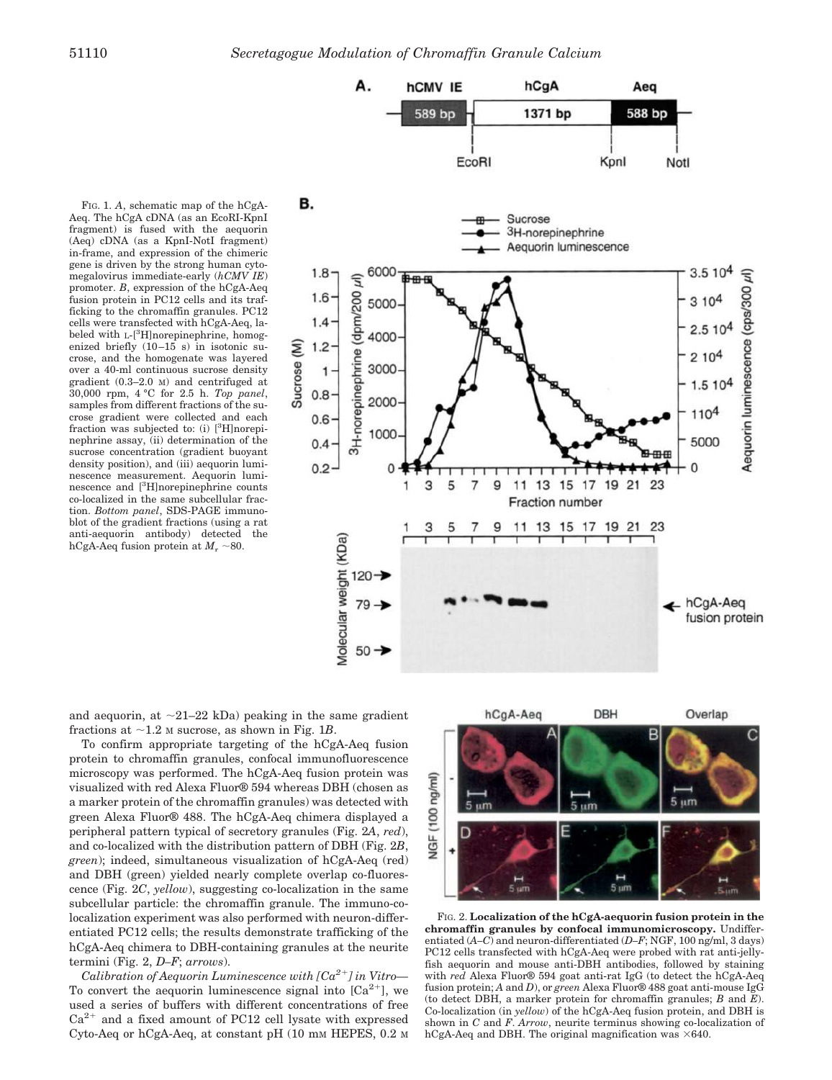**hCMV IE** 

Α.

FIG. 1. *A*, schematic map of the hCgA-Aeq. The hCgA cDNA (as an EcoRI-KpnI fragment) is fused with the aequorin (Aeq) cDNA (as a KpnI-NotI fragment) in-frame, and expression of the chimeric gene is driven by the strong human cytomegalovirus immediate-early (*hCMV IE*) promoter. *B*, expression of the hCgA-Aeq fusion protein in PC12 cells and its trafficking to the chromaffin granules. PC12 cells were transfected with hCgA-Aeq, labeled with  $L-[3H]$ norepinephrine, homogenized briefly (10–15 s) in isotonic sucrose, and the homogenate was layered over a 40-ml continuous sucrose density gradient (0.3–2.0 M) and centrifuged at 30,000 rpm, 4 °C for 2.5 h. *Top panel*, samples from different fractions of the sucrose gradient were collected and each fraction was subjected to: (i) [3H]norepinephrine assay, (ii) determination of the sucrose concentration (gradient buoyant density position), and (iii) aequorin luminescence measurement. Aequorin luminescence and [3H]norepinephrine counts co-localized in the same subcellular fraction. *Bottom panel*, SDS-PAGE immunoblot of the gradient fractions (using a rat anti-aequorin antibody) detected the hCgA-Aeq fusion protein at  $M_r \sim 80$ .



hCgA

Aeg

and aequorin, at  $\sim$ 21–22 kDa) peaking in the same gradient fractions at  $\sim$ 1.2 M sucrose, as shown in Fig. 1*B*.

To confirm appropriate targeting of the hCgA-Aeq fusion protein to chromaffin granules, confocal immunofluorescence microscopy was performed. The hCgA-Aeq fusion protein was visualized with red Alexa Fluor® 594 whereas DBH (chosen as a marker protein of the chromaffin granules) was detected with green Alexa Fluor® 488. The hCgA-Aeq chimera displayed a peripheral pattern typical of secretory granules (Fig. 2*A*, *red*), and co-localized with the distribution pattern of DBH (Fig. 2*B*, *green*); indeed, simultaneous visualization of hCgA-Aeq (red) and DBH (green) yielded nearly complete overlap co-fluorescence (Fig. 2*C*, *yellow*), suggesting co-localization in the same subcellular particle: the chromaffin granule. The immuno-colocalization experiment was also performed with neuron-differentiated PC12 cells; the results demonstrate trafficking of the hCgA-Aeq chimera to DBH-containing granules at the neurite termini (Fig. 2, *D–F*; *arrows*).

Calibration of Aequorin Luminescence with  $[Ca^{2+}]$  in Vitro— To convert the aequorin luminescence signal into  $[Ca^{2+}]$ , we used a series of buffers with different concentrations of free  $Ca<sup>2+</sup>$  and a fixed amount of PC12 cell lysate with expressed Cyto-Aeq or  $hCgA-Aeq$ , at constant pH (10 mm HEPES, 0.2 m



FIG. 2. **Localization of the hCgA-aequorin fusion protein in the chromaffin granules by confocal immunomicroscopy.** Undifferentiated (*A–C*) and neuron-differentiated (*D–F*; NGF, 100 ng/ml, 3 days) PC12 cells transfected with hCgA-Aeq were probed with rat anti-jellyfish aequorin and mouse anti-DBH antibodies, followed by staining with *red* Alexa Fluor® 594 goat anti-rat IgG (to detect the hCgA-Aeq fusion protein; *A* and *D*), or *green* Alexa Fluor® 488 goat anti-mouse IgG (to detect DBH, a marker protein for chromaffin granules; *B* and *E*). Co-localization (in *yellow*) of the hCgA-Aeq fusion protein, and DBH is shown in *C* and *F*. *Arrow*, neurite terminus showing co-localization of hCgA-Aeq and DBH. The original magnification was  $\times 640$ .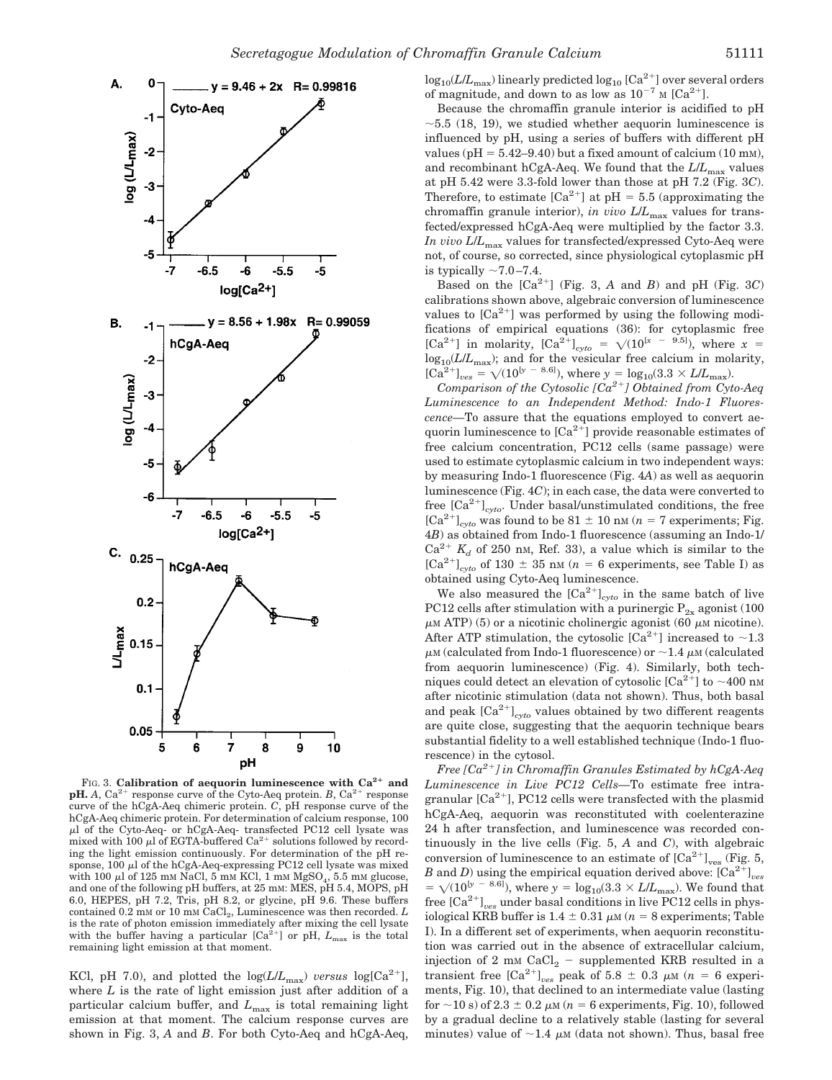

FIG. 3. **Calibration of aequorin luminescence with Ca2 and pH.** *A*,  $Ca^{2+}$  response curve of the Cyto-Aeq protein. *B*,  $Ca^{2+}$  response curve of the hCgA-Aeq chimeric protein. *C*, pH response curve of the hCgA-Aeq chimeric protein. For determination of calcium response, 100 -l of the Cyto-Aeq- or hCgA-Aeq- transfected PC12 cell lysate was mixed with 100  $\mu$ l of EGTA-buffered Ca<sup>2+</sup> solutions followed by recording the light emission continuously. For determination of the pH response, 100  $\mu$ l of the hCgA-Aeq-expressing PC12 cell lysate was mixed with 100  $\mu$ l of 125 mm NaCl, 5 mm KCl, 1 mm MgSO<sub>4</sub>, 5.5 mm glucose, and one of the following pH buffers, at 25 mM: MES, pH 5.4, MOPS, pH 6.0, HEPES, pH 7.2, Tris, pH 8.2, or glycine, pH 9.6. These buffers contained 0.2 mm or 10 mm CaCl<sub>2</sub>, Luminescence was then recorded. *L* is the rate of photon emission immediately after mixing the cell lysate with the buffer having a particular  $[Ca<sup>2+</sup>]$  or pH,  $L_{\text{max}}$  is the total remaining light emission at that moment.

KCl, pH 7.0), and plotted the  $log(L/L_{\text{max}})$  *versus*  $log(Ca^{2+})$ , where *L* is the rate of light emission just after addition of a particular calcium buffer, and  $L_{\text{max}}$  is total remaining light emission at that moment. The calcium response curves are shown in Fig. 3, *A* and *B*. For both Cyto-Aeq and hCgA-Aeq,

 $\log_{10} (L/L_{\rm max})$  linearly predicted  $\log_{10}$  [Ca<sup>2+</sup>] over several orders of magnitude, and down to as low as  $10^{-7}$  M [Ca<sup>2+</sup>].

Because the chromaffin granule interior is acidified to pH  $\sim$  5.5 (18, 19), we studied whether aequorin luminescence is influenced by pH, using a series of buffers with different pH values ( $pH = 5.42-9.40$ ) but a fixed amount of calcium (10 mm), and recombinant hCgA-Aeq. We found that the  $L/L_{\text{max}}$  values at pH 5.42 were 3.3-fold lower than those at pH 7.2 (Fig. 3*C*). Therefore, to estimate  $[Ca^{2+}]$  at pH = 5.5 (approximating the chromaffin granule interior), *in vivo L/L*<sub>max</sub> values for transfected/expressed hCgA-Aeq were multiplied by the factor 3.3. *In vivo L*/*L*max values for transfected/expressed Cyto-Aeq were not, of course, so corrected, since physiological cytoplasmic pH is typically  $\sim 7.0 - 7.4$ .

Based on the  $[Ca^{2+}]$  (Fig. 3, *A* and *B*) and pH (Fig. 3*C*) calibrations shown above, algebraic conversion of luminescence values to  $[Ca^{2+}]$  was performed by using the following modifications of empirical equations (36): for cytoplasmic free [Ca<sup>2+</sup>] in molarity,  $[Ca^{2+}]_{cyto} = \sqrt{(10^{[x - 9.5]})}$ , where  $x =$ log<sub>10</sub>( $L/L_{\text{max}}$ ); and for the vesicular free calcium in molarity,  $[Ca^{2+}]_{ves} = \sqrt{(10^{[y - 8.6]})}$ , where  $y = \log_{10}(3.3 \times L/L_{\text{max}})$ .

*Comparison of the Cytosolic [Ca2*- *] Obtained from Cyto-Aeq Luminescence to an Independent Method: Indo-1 Fluorescence—*To assure that the equations employed to convert aequorin luminescence to  $[Ca^{2+}]$  provide reasonable estimates of free calcium concentration, PC12 cells (same passage) were used to estimate cytoplasmic calcium in two independent ways: by measuring Indo-1 fluorescence (Fig. 4*A*) as well as aequorin luminescence (Fig. 4*C*); in each case, the data were converted to free [Ca<sup>2+</sup>]<sub>cyto</sub>. Under basal/unstimulated conditions, the free  ${[Ca^{2+}]}_{cyto}$  was found to be 81  $\pm$  10 nm (*n* = 7 experiments; Fig. 4*B*) as obtained from Indo-1 fluorescence (assuming an Indo-1/  $Ca^{2+} K_d$  of 250 nm, Ref. 33), a value which is similar to the  ${[Ca^{2+}]}_{cyto}$  of 130  $\pm$  35 nm (*n* = 6 experiments, see Table I) as obtained using Cyto-Aeq luminescence.

We also measured the  $[Ca^{2+}]_{cyto}$  in the same batch of live PC12 cells after stimulation with a purinergic  $P_{2x}$  agonist (100)  $\mu$  M ATP) (5) or a nicotinic cholinergic agonist (60  $\mu$ M nicotine). After ATP stimulation, the cytosolic  $[Ca^{2+}]$  increased to  $\sim$  1.3  $\mu$ м (calculated from Indo-1 fluorescence) or  ${\sim}1.4$   $\mu$ м (calculated from aequorin luminescence) (Fig. 4). Similarly, both techniques could detect an elevation of cytosolic  $\lbrack Ca^{2+} \rbrack$  to  $\sim\!400$  nm after nicotinic stimulation (data not shown). Thus, both basal and peak  ${[Ca^{2+}]}_{cyto}$  values obtained by two different reagents are quite close, suggesting that the aequorin technique bears substantial fidelity to a well established technique (Indo-1 fluorescence) in the cytosol.

*Free [Ca2*- *] in Chromaffin Granules Estimated by hCgA-Aeq Luminescence in Live PC12 Cells—*To estimate free intragranular  $[Ca^{2+}]$ , PC12 cells were transfected with the plasmid hCgA-Aeq, aequorin was reconstituted with coelenterazine 24 h after transfection, and luminescence was recorded continuously in the live cells (Fig. 5, *A* and *C*), with algebraic conversion of luminescence to an estimate of  ${[Ca^{2+}]}_{\text{ves}}$  (Fig. 5, *B* and *D*) using the empirical equation derived above:  $\left[Ca^{2+}\right]_{ves}$  $= \sqrt{(10^{[y - 8.6]})}$ , where  $y = \log_{10}(3.3 \times L/L_{\text{max}})$ . We found that free [Ca<sup>2+</sup>]<sub>ves</sub> under basal conditions in live PC12 cells in physiological KRB buffer is  $1.4 \pm 0.31 \mu M$  ( $n = 8$  experiments; Table I). In a different set of experiments, when aequorin reconstitution was carried out in the absence of extracellular calcium, injection of 2 mm  $CaCl<sub>2</sub>$  - supplemented KRB resulted in a transient free  $[Ca^{2+}]_{ves}$  peak of 5.8  $\pm$  0.3  $\mu$ M (*n* = 6 experiments, Fig. 10), that declined to an intermediate value (lasting for  $\sim$ 10 s) of 2.3  $\pm$  0.2  $\mu$ M ( $n = 6$  experiments, Fig. 10), followed by a gradual decline to a relatively stable (lasting for several minutes) value of  $\sim$ 1.4  $\mu$ M (data not shown). Thus, basal free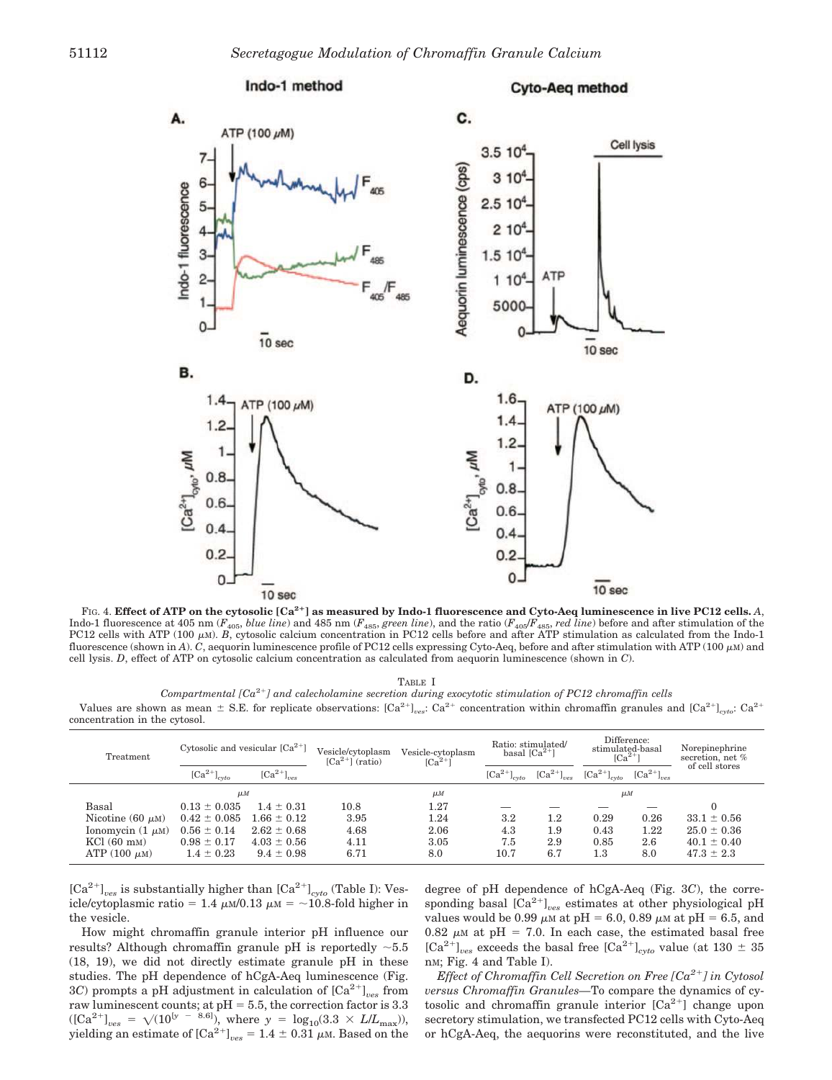

FIG. 4. **Effect of ATP on the cytosolic [Ca2 ] as measured by Indo-1 fluorescence and Cyto-Aeq luminescence in live PC12 cells.** *A*, Indo-1 fluorescence at 405 nm ( $F_{405}$ , blue line) and 485 nm ( $F_{485}$ , green line), and the ratio ( $F_{405}F_{485}$ , red line) before and after stimulation of the PC12 cells before and after stimulation of the Indo-1 fluorescence (shown in *A*). *C*, aequorin luminescence profile of PC12 cells expressing Cyto-Aeq, before and after stimulation with ATP (100  $\mu$ m) and cell lysis. *D*, effect of ATP on cytosolic calcium concentration as calculated from aequorin luminescence (shown in *C*).

TABLE I

Compartmental [Ca<sup>2+</sup>] and calecholamine secretion during exocytotic stimulation of PC12 chromaffin cells Values are shown as mean  $\pm$  S.E. for replicate observations:  $\left[\text{Ca}^{2+}\right]_{\text{ces}}$ :  $\text{Ca}^{2+}$  concentration within chromaffin granules and  $\left[\text{Ca}^{2+}\right]_{\text{cyc}}$ :  $\text{Ca}^{2+}$ 

| Treatment             | Cytosolic and vesicular $[Ca^{2+}]$  |                                            | Vesicle/cytoplasm<br>$\lceil Ca^{2+} \rceil$ (ratio) | Vesicle-cytoplasm<br>$\lceil Ca^{2+} \rceil$ | Ratio: stimulated/<br>basal $\lceil Ca^{2+} \rceil$ |                                     | Difference:<br>stimulated-basal<br>$\lceil Ca^{2+} \rceil$ |                                       | Norepinephrine<br>secretion, net %<br>of cell stores |
|-----------------------|--------------------------------------|--------------------------------------------|------------------------------------------------------|----------------------------------------------|-----------------------------------------------------|-------------------------------------|------------------------------------------------------------|---------------------------------------|------------------------------------------------------|
|                       | $\left[\text{Ca}^{2+}\right]_{cvto}$ | $\left[\text{Ca}^{2+}\right]_{\text{res}}$ |                                                      |                                              | $\left[\text{Ca}^{2+}\right]_{cvto}$                | $\left[\text{Ca}^{2+}\right]_{ves}$ | $\left[\text{Ca}^{2+}\right]_{evto}$                       | ${[\mathrm{Ca}^{2+}]}_{\mathrm{res}}$ |                                                      |
|                       | $\mu$ M                              |                                            |                                                      | $\mu$ <i>M</i>                               |                                                     |                                     | $\mu$ <i>M</i>                                             |                                       |                                                      |
| Basal                 | $0.13 \pm 0.035$                     | $1.4 \pm 0.31$                             | 10.8                                                 | 1.27                                         |                                                     |                                     |                                                            |                                       |                                                      |
| Nicotine (60 $\mu$ M) | $0.42 \pm 0.085$                     | $1.66 \pm 0.12$                            | 3.95                                                 | 1.24                                         | 3.2                                                 | $1.2\,$                             | 0.29                                                       | 0.26                                  | $33.1 \pm 0.56$                                      |
| Ionomycin $(1 \mu M)$ | $0.56 \pm 0.14$                      | $2.62 \pm 0.68$                            | 4.68                                                 | 2.06                                         | 4.3                                                 | 1.9                                 | 0.43                                                       | 1.22                                  | $25.0 \pm 0.36$                                      |
| $KCl (60$ mm)         | $0.98 \pm 0.17$                      | $4.03 \pm 0.56$                            | 4.11                                                 | 3.05                                         | 7.5                                                 | 2.9                                 | 0.85                                                       | 2.6                                   | $40.1 \pm 0.40$                                      |
| ATP $(100 \mu M)$     | $1.4 \pm 0.23$                       | $9.4 \pm 0.98$                             | 6.71                                                 | 8.0                                          | 10.7                                                | 6.7                                 | $1.3\,$                                                    | 8.0                                   | $47.3 \pm 2.3$                                       |

 $\rm [Ca^{2+}]_{\it ves}$  is substantially higher than  $\rm [Ca^{2+}]_{\it cvto}$  (Table I): Vesicle/cytoplasmic ratio = 1.4  $\mu$ M/0.13  $\mu$ M = ~10.8-fold higher in the vesicle.

concentration in the cytosol.

How might chromaffin granule interior pH influence our results? Although chromaffin granule pH is reportedly  $\sim 5.5$ (18, 19), we did not directly estimate granule pH in these studies. The pH dependence of hCgA-Aeq luminescence (Fig. 3C) prompts a pH adjustment in calculation of  $\left[Ca^{2+}\right]_{ves}$  from raw luminescent counts; at  $pH = 5.5$ , the correction factor is 3.3  $([Ca^{2+}]_{ves} = \sqrt{(10^{[y - 8.6]})},$  where  $y = \log_{10}(3.3 \times L/L_{\text{max}})),$ yielding an estimate of  $\left[Ca^{2+}\right]_{ves} = 1.4 \pm 0.31 \mu$ M. Based on the

degree of pH dependence of hCgA-Aeq (Fig. 3*C*), the corresponding basal  $\left[\text{Ca}^{2+}\right]_{ves}$  estimates at other physiological pH values would be 0.99  $\mu$ m at pH = 6.0, 0.89  $\mu$ m at pH = 6.5, and 0.82  $\mu$ M at pH = 7.0. In each case, the estimated basal free  $\left[\text{Ca}^{2+}\right]_{ves}$  exceeds the basal free  $\left[\text{Ca}^{2+}\right]_{cyto}$  value (at 130  $\pm$  35 nM; Fig. 4 and Table I).

*Effect of Chromaffin Cell Secretion on Free [Ca2*- *] in Cytosol versus Chromaffin Granules—*To compare the dynamics of cytosolic and chromaffin granule interior  $[Ca^{2+}]$  change upon secretory stimulation, we transfected PC12 cells with Cyto-Aeq or hCgA-Aeq, the aequorins were reconstituted, and the live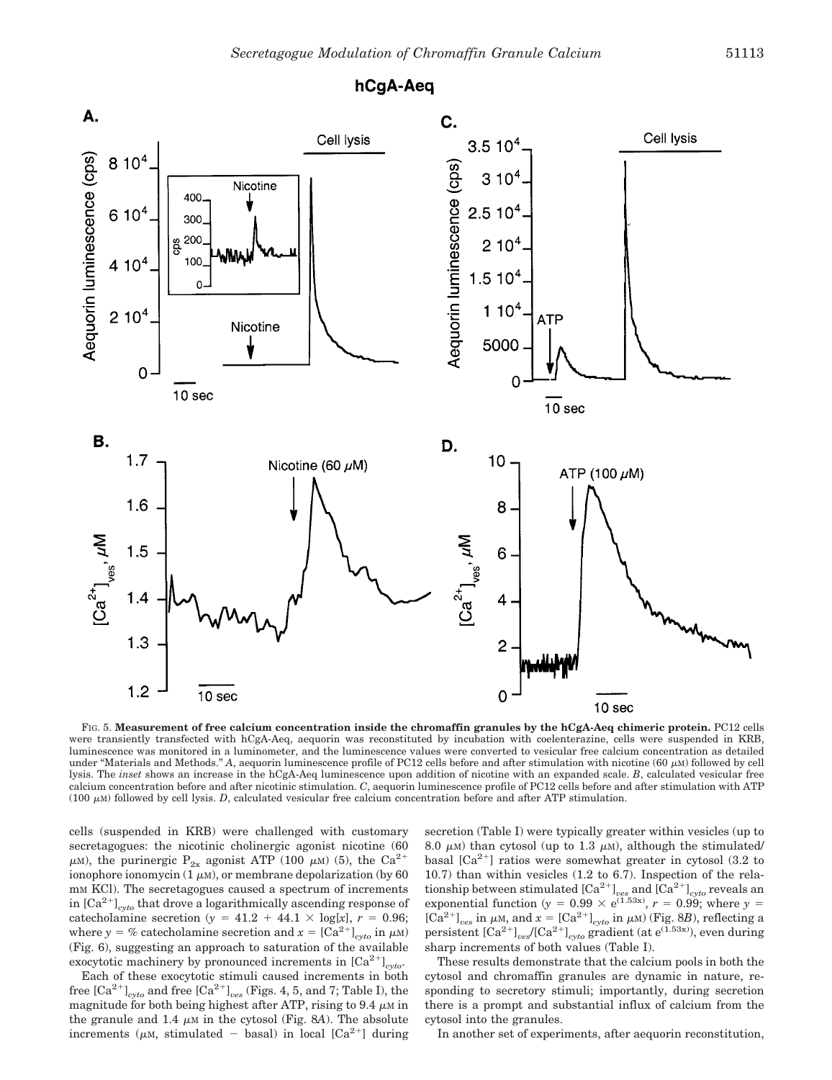

FIG. 5. **Measurement of free calcium concentration inside the chromaffin granules by the hCgA-Aeq chimeric protein.** PC12 cells were transiently transfected with hCgA-Aeq, aequorin was reconstituted by incubation with coelenterazine, cells were suspended in KRB, luminescence was monitored in a luminometer, and the luminescence values were converted to vesicular free calcium concentration as detailed under "Materials and Methods." A, aequorin luminescence profile of PC12 cells before and after stimulation with nicotine  $(60 \mu M)$  followed by cell lysis. The *inset* shows an increase in the hCgA-Aeq luminescence upon addition of nicotine with an expanded scale. *B*, calculated vesicular free calcium concentration before and after nicotinic stimulation. *C*, aequorin luminescence profile of PC12 cells before and after stimulation with ATP  $(100 \mu)$  followed by cell lysis. *D*, calculated vesicular free calcium concentration before and after ATP stimulation.

cells (suspended in KRB) were challenged with customary secretagogues: the nicotinic cholinergic agonist nicotine (60  $\mu$ M), the purinergic P<sub>2x</sub> agonist ATP (100  $\mu$ M) (5), the Ca<sup>2+</sup> ionophore ionomycin  $(1 \mu M)$ , or membrane depolarization (by 60 mM KCl). The secretagogues caused a spectrum of increments in [Ca2- ]*cyto* that drove a logarithmically ascending response of catecholamine secretion ( $y = 41.2 + 44.1 \times \log[x]$ ,  $r = 0.96$ ; where  $y = %$  catecholamine secretion and  $x = [Ca^{2+}]_{cyto}$  in  $\mu$ M) (Fig. 6), suggesting an approach to saturation of the available exocytotic machinery by pronounced increments in  $[Ca^{2+}]_{cyto}$ .

Each of these exocytotic stimuli caused increments in both free  $\left[Ca^{2+}\right]_{cyto}$  and free  $\left[Ca^{2+}\right]_{ves}$  (Figs. 4, 5, and 7; Table I), the magnitude for both being highest after ATP, rising to 9.4  $\mu$ M in the granule and 1.4  $\mu$ <sub>M</sub> in the cytosol (Fig. 8*A*). The absolute increments ( $\mu$ M, stimulated - basal) in local [Ca<sup>2+</sup>] during secretion (Table I) were typically greater within vesicles (up to 8.0  $\mu$ <sub>M</sub>) than cytosol (up to 1.3  $\mu$ <sub>M</sub>), although the stimulated/ basal  $[Ca^{2+}]$  ratios were somewhat greater in cytosol (3.2 to 10.7) than within vesicles (1.2 to 6.7). Inspection of the relationship between stimulated  $\text{[Ca}^{2+}\text{]}_{ves}$  and  $\text{[Ca}^{2+}\text{]}_{cyto}$  reveals an exponential function ( $y = 0.99 \times e^{(1.53x)}$ ,  $r = 0.99$ ; where  $y =$  $[Ca^{2+}]_{ves}$  in  $\mu$ M, and  $x = [Ca^{2+}]_{cyto}$  in  $\mu$ M) (Fig. 8*B*), reflecting a persistent  $\left[Ca^{2+}\right]_{ves} / \left[Ca^{2+}\right]_{cyto}$  gradient (at e<sup>(1.53x)</sup>), even during sharp increments of both values (Table I).

These results demonstrate that the calcium pools in both the cytosol and chromaffin granules are dynamic in nature, responding to secretory stimuli; importantly, during secretion there is a prompt and substantial influx of calcium from the cytosol into the granules.

In another set of experiments, after aequorin reconstitution,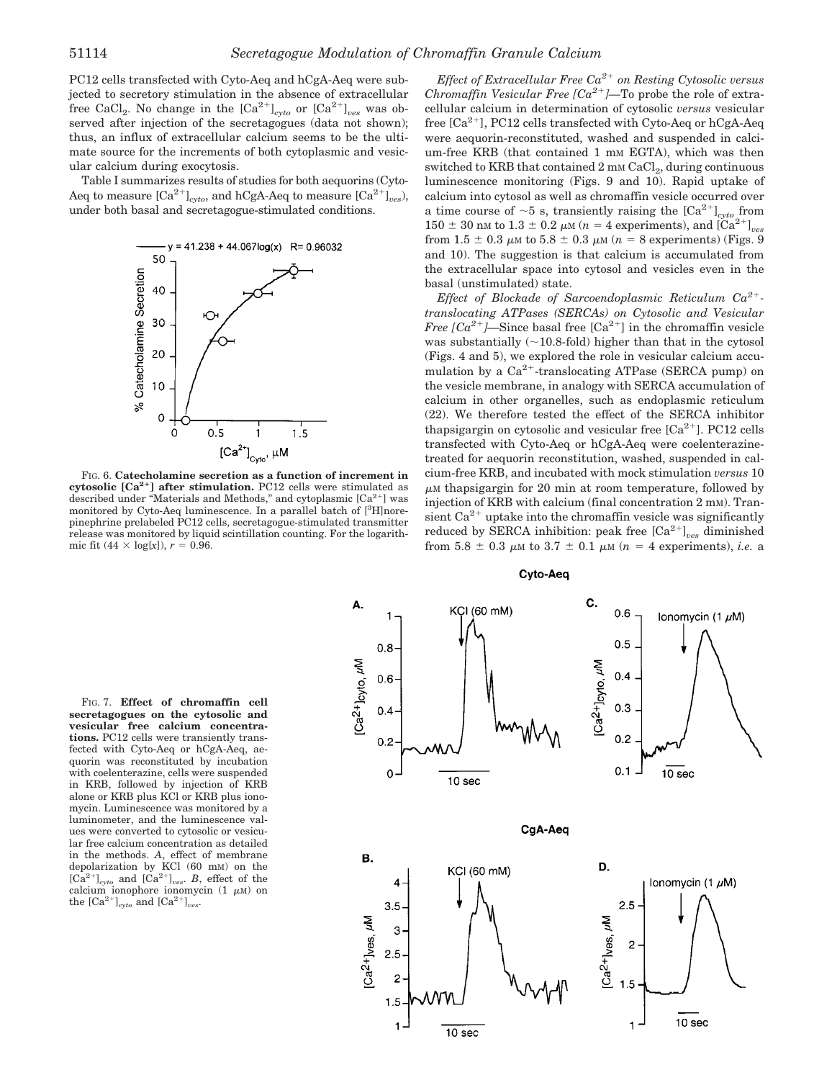PC12 cells transfected with Cyto-Aeq and hCgA-Aeq were subjected to secretory stimulation in the absence of extracellular free CaCl<sub>2</sub>. No change in the  $\left[Ca^{2+}\right]_{cyto}$  or  $\left[Ca^{2+}\right]_{ves}$  was observed after injection of the secretagogues (data not shown); thus, an influx of extracellular calcium seems to be the ultimate source for the increments of both cytoplasmic and vesicular calcium during exocytosis.

Table I summarizes results of studies for both aequorins (Cyto-Aeq to measure  $\left[\text{Ca}^{2+}\right]_{cyto}$ , and hCgA-Aeq to measure  $\left[\text{Ca}^{2+}\right]_{ves}$ , under both basal and secretagogue-stimulated conditions.



FIG. 6. **Catecholamine secretion as a function of increment in cytosolic [Ca2 ] after stimulation.** PC12 cells were stimulated as described under "Materials and Methods," and cytoplasmic [Ca<sup>2+</sup>] was monitored by Cyto-Aeq luminescence. In a parallel batch of [3H]norepinephrine prelabeled PC12 cells, secretagogue-stimulated transmitter release was monitored by liquid scintillation counting. For the logarithmic fit (44  $\times$  log[x]), *r* = 0.96.

*Effect of Extracellular Free Ca2*- *on Resting Cytosolic versus Chromaffin Vesicular Free*  $[Ca^{2+}]$ *—To probe the role of extra*cellular calcium in determination of cytosolic *versus* vesicular free [Ca<sup>2+</sup>], PC12 cells transfected with Cyto-Aeq or hCgA-Aeq were aequorin-reconstituted, washed and suspended in calcium-free KRB (that contained 1 mm EGTA), which was then switched to KRB that contained  $2 \text{ mm } \text{CaCl}_2$ , during continuous luminescence monitoring (Figs. 9 and 10). Rapid uptake of calcium into cytosol as well as chromaffin vesicle occurred over a time course of  $\sim$ 5 s, transiently raising the  $\left[Ca^{2+}\right]_{cyto}$  from 150  $\pm$  30 nm to 1.3  $\pm$  0.2  $\mu$ m (*n* = 4 experiments), and [Ca<sup>2+</sup>]<sub>ves</sub> from 1.5  $\pm$  0.3  $\mu$ M to 5.8  $\pm$  0.3  $\mu$ M ( $n = 8$  experiments) (Figs. 9 and 10). The suggestion is that calcium is accumulated from the extracellular space into cytosol and vesicles even in the basal (unstimulated) state.

*Effect of Blockade of Sarcoendoplasmic Reticulum Ca2*-  *translocating ATPases (SERCAs) on Cytosolic and Vesicular Free*  $[Ca^{2+}]$ —Since basal free  $[Ca^{2+}]$  in the chromaffin vesicle was substantially  $(\sim 10.8 \text{-} \text{fold})$  higher than that in the cytosol (Figs. 4 and 5), we explored the role in vesicular calcium accumulation by a Ca<sup>2+</sup>-translocating ATPase (SERCA pump) on the vesicle membrane, in analogy with SERCA accumulation of calcium in other organelles, such as endoplasmic reticulum (22). We therefore tested the effect of the SERCA inhibitor thapsigargin on cytosolic and vesicular free  $[Ca^{2+}]$ . PC12 cells transfected with Cyto-Aeq or hCgA-Aeq were coelenterazinetreated for aequorin reconstitution, washed, suspended in calcium-free KRB, and incubated with mock stimulation *versus* 10  $\mu$ M thapsigargin for 20 min at room temperature, followed by injection of KRB with calcium (final concentration 2 mm). Transient  $Ca^{2+}$  uptake into the chromaffin vesicle was significantly reduced by SERCA inhibition: peak free  ${[Ca^{2+}]}_{ves}$  diminished from  $5.8 \pm 0.3$   $\mu$ m to  $3.7 \pm 0.1$   $\mu$ m ( $n = 4$  experiments), *i.e.* a

FIG. 7. **Effect of chromaffin cell secretagogues on the cytosolic and vesicular free calcium concentrations.** PC12 cells were transiently transfected with Cyto-Aeq or hCgA-Aeq, aequorin was reconstituted by incubation with coelenterazine, cells were suspended in KRB, followed by injection of KRB alone or KRB plus KCl or KRB plus ionomycin. Luminescence was monitored by a luminometer, and the luminescence values were converted to cytosolic or vesicular free calcium concentration as detailed in the methods. *A*, effect of membrane depolarization by KCl (60 mM) on the  $[\tilde{Ca}^{2+}]_{cyto}$  and  $[\tilde{Ca}^{2+}]_{ves}$ . *B*, effect of the calcium ionophore ionomycin  $(1 \mu M)$  on the  $\left[\text{Ca}^{2+}\right]_{cyto}$  and  $\left[\text{Ca}^{2+}\right]_{ves}$ .



**Cyto-Aeg**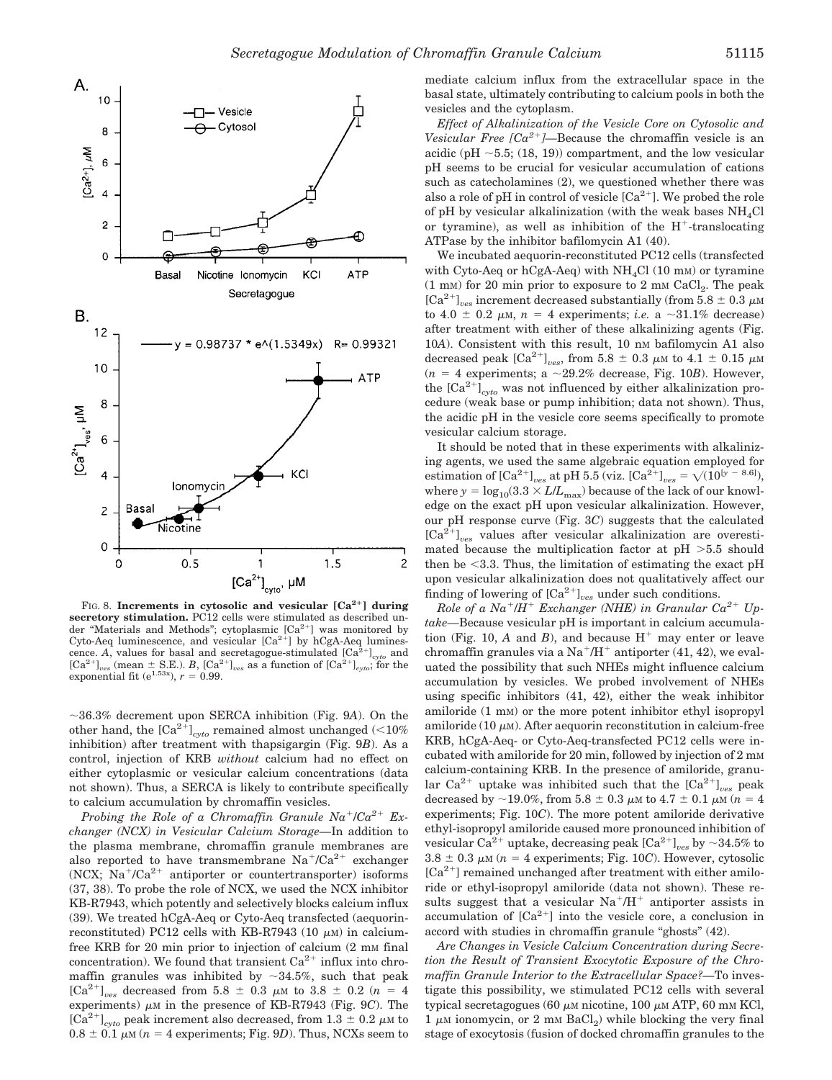

FIG. 8. **Increments in cytosolic and vesicular [Ca<sup>2+</sup>] during secretory stimulation.** PC12 cells were stimulated as described under "Materials and Methods"; cytoplasmic [Ca<sup>2+</sup>] was monitored by Cyto-Aeq luminescence, and vesicular  $[Ca^{2+}]$  by hCgA-Aeq luminescence. A, values for basal and secretagogue-stimulated  $\left[\text{Ca}^{\hat{2}+}\right]_{cyto}$  and  ${[\text{Ca}^{2+}]}_{\text{cos}}$  (mean  $\pm$  S.E.). *B*,  ${[\text{Ca}^{2+}]}_{\text{cos}}$  as a function of  ${[\text{Ca}^{2+}]}_{\text{cyto}}$ ; for the exponential fit (e<sup>1.53x</sup>), *r* = 0.99.

36.3% decrement upon SERCA inhibition (Fig. 9*A*). On the other hand, the  $\left[Ca^{2+}\right]_{cyto}$  remained almost unchanged (<10%) inhibition) after treatment with thapsigargin (Fig. 9*B*). As a control, injection of KRB *without* calcium had no effect on either cytoplasmic or vesicular calcium concentrations (data not shown). Thus, a SERCA is likely to contribute specifically to calcium accumulation by chromaffin vesicles.

Probing the Role of a Chromaffin Granule  $Na^{+}/Ca^{2+}$  Ex*changer (NCX) in Vesicular Calcium Storage—*In addition to the plasma membrane, chromaffin granule membranes are also reported to have transmembrane  $Na^+/Ca^{2+}$  exchanger (NCX;  $Na^{+}/Ca^{2+}$  antiporter or countertransporter) isoforms (37, 38). To probe the role of NCX, we used the NCX inhibitor KB-R7943, which potently and selectively blocks calcium influx (39). We treated hCgA-Aeq or Cyto-Aeq transfected (aequorinreconstituted) PC12 cells with KB-R7943 (10  $\mu$ m) in calciumfree KRB for 20 min prior to injection of calcium  $(2 \text{ mm} \text{ final})$ concentration). We found that transient  $Ca^{2+}$  influx into chromaffin granules was inhibited by  $\sim$ 34.5%, such that peak  $[Ca^{2+}]_{ves}$  decreased from 5.8  $\pm$  0.3  $\mu$ M to 3.8  $\pm$  0.2 (*n* = 4 experiments)  $\mu$  m in the presence of KB-R7943 (Fig. 9*C*). The  $\left[\text{Ca}^{2+}\right]_{cyto}$  peak increment also decreased, from 1.3  $\pm$  0.2  $\mu$ M to  $0.8 \pm 0.1 \mu \text{m}$  ( $n = 4$  experiments; Fig. 9*D*). Thus, NCXs seem to

mediate calcium influx from the extracellular space in the basal state, ultimately contributing to calcium pools in both the vesicles and the cytoplasm.

*Effect of Alkalinization of the Vesicle Core on Cytosolic and* Vesicular Free  $[Ca^{2+}]$ —Because the chromaffin vesicle is an acidic (pH  $\sim$  5.5; (18, 19)) compartment, and the low vesicular pH seems to be crucial for vesicular accumulation of cations such as catecholamines (2), we questioned whether there was also a role of pH in control of vesicle  $[Ca^{2+}]$ . We probed the role of pH by vesicular alkalinization (with the weak bases  $NH<sub>4</sub>Cl$ or tyramine), as well as inhibition of the  $H^+$ -translocating ATPase by the inhibitor bafilomycin A1 (40).

We incubated aequorin-reconstituted PC12 cells (transfected with Cyto-Aeq or hCgA-Aeq) with  $NH<sub>4</sub>Cl$  (10 mm) or tyramine  $(1 \text{ mm})$  for 20 min prior to exposure to 2 mm  $\text{CaCl}_2$ . The peak [Ca<sup>2+</sup>]<sub>ves</sub> increment decreased substantially (from 5.8  $\pm$  0.3  $\mu$ M to  $4.0 \pm 0.2$   $\mu$ m,  $n = 4$  experiments; *i.e.* a  $\sim 31.1\%$  decrease) after treatment with either of these alkalinizing agents (Fig. 10*A*). Consistent with this result, 10 nm bafilomycin A1 also decreased peak  $\left[Ca^{2+}\right]_{ves}$ , from 5.8  $\pm$  0.3  $\mu$ M to 4.1  $\pm$  0.15  $\mu$ M  $(n = 4$  experiments; a  $\sim$  29.2% decrease, Fig. 10*B*). However, the  $\left[\text{Ca}^{2+}\right]_{\text{cyto}}$  was not influenced by either alkalinization procedure (weak base or pump inhibition; data not shown). Thus, the acidic pH in the vesicle core seems specifically to promote vesicular calcium storage.

It should be noted that in these experiments with alkalinizing agents, we used the same algebraic equation employed for estimation of  $\text{[Ca}^{2+}\text{]}_{ves}$  at pH 5.5 (viz.  $\text{[Ca}^{2+}\text{]}_{ves} = \sqrt{(10^{[y - 8.6]})}$ , where  $y = log_{10}(3.3 \times L/L_{\text{max}})$  because of the lack of our knowledge on the exact pH upon vesicular alkalinization. However, our pH response curve (Fig. 3*C*) suggests that the calculated [Ca2- ]*ves* values after vesicular alkalinization are overestimated because the multiplication factor at  $pH > 5.5$  should then be  $\leq$ 3.3. Thus, the limitation of estimating the exact pH upon vesicular alkalinization does not qualitatively affect our finding of lowering of  ${[Ca^{2+}]}_{ves}$  under such conditions.

 $Role$  of a  $Na^+$ / $H^+$  Exchanger (NHE) in Granular  $Ca^{2+}$  Up*take—*Because vesicular pH is important in calcium accumulation (Fig. 10,  $A$  and  $B$ ), and because  $H^+$  may enter or leave chromaffin granules via a Na<sup>+</sup>/H<sup>+</sup> antiporter (41, 42), we evaluated the possibility that such NHEs might influence calcium accumulation by vesicles. We probed involvement of NHEs using specific inhibitors (41, 42), either the weak inhibitor amiloride (1 mM) or the more potent inhibitor ethyl isopropyl amiloride (10  $\mu$ m). After aequorin reconstitution in calcium-free KRB, hCgA-Aeq- or Cyto-Aeq-transfected PC12 cells were incubated with amiloride for 20 min, followed by injection of 2 mM calcium-containing KRB. In the presence of amiloride, granular  $Ca^{2+}$  uptake was inhibited such that the  $[Ca^{2+}]_{ves}$  peak decreased by  $\sim$  19.0%, from 5.8  $\pm$  0.3  $\mu$ m to 4.7  $\pm$  0.1  $\mu$ m ( $n = 4$ experiments; Fig. 10*C*). The more potent amiloride derivative ethyl-isopropyl amiloride caused more pronounced inhibition of  $\text{vesicular Ca}^{2+} \text{ uptake}, \text{decreasing peak } [\text{Ca}^{2+}]_{ves} \text{ by } \sim 34.5\% \text{ to }$  $3.8 \pm 0.3 \mu \text{m}$  ( $n = 4$  experiments; Fig. 10*C*). However, cytosolic [Ca<sup>2+</sup>] remained unchanged after treatment with either amiloride or ethyl-isopropyl amiloride (data not shown). These results suggest that a vesicular  $Na^+/H^+$  antiporter assists in accumulation of  $[Ca^{2+}]$  into the vesicle core, a conclusion in accord with studies in chromaffin granule "ghosts" (42).

*Are Changes in Vesicle Calcium Concentration during Secretion the Result of Transient Exocytotic Exposure of the Chromaffin Granule Interior to the Extracellular Space?—*To investigate this possibility, we stimulated PC12 cells with several typical secretagogues (60  $\mu$ m nicotine, 100  $\mu$ m ATP, 60 mm KCl,  $1 \mu$ M ionomycin, or  $2 \mu$ M BaCl<sub>2</sub>) while blocking the very final stage of exocytosis (fusion of docked chromaffin granules to the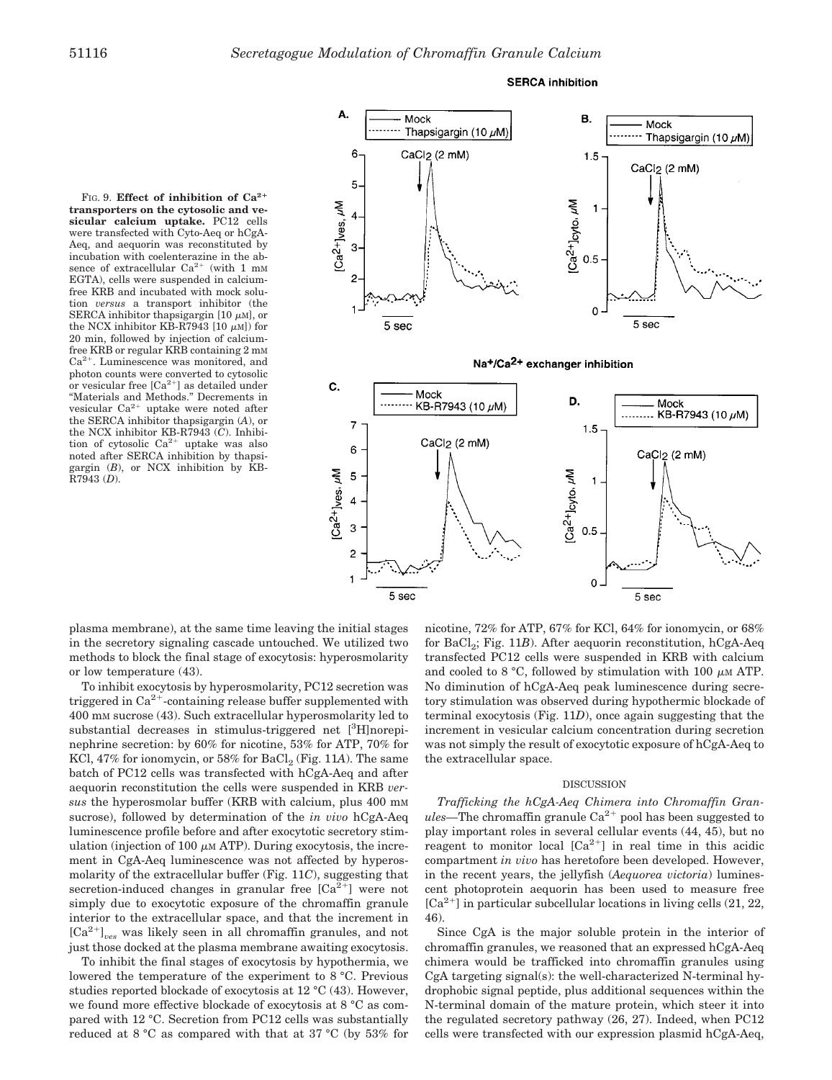





plasma membrane), at the same time leaving the initial stages in the secretory signaling cascade untouched. We utilized two methods to block the final stage of exocytosis: hyperosmolarity or low temperature (43).

To inhibit exocytosis by hyperosmolarity, PC12 secretion was triggered in  $Ca^{2+}$ -containing release buffer supplemented with 400 mM sucrose (43). Such extracellular hyperosmolarity led to substantial decreases in stimulus-triggered net <sup>[3</sup>H]norepinephrine secretion: by 60% for nicotine, 53% for ATP, 70% for KCl, 47% for ionomycin, or  $58\%$  for  $\mathrm{BaCl}_2$  (Fig. 11A). The same batch of PC12 cells was transfected with hCgA-Aeq and after aequorin reconstitution the cells were suspended in KRB *versus* the hyperosmolar buffer (KRB with calcium, plus 400 mM sucrose), followed by determination of the *in vivo* hCgA-Aeq luminescence profile before and after exocytotic secretory stimulation (injection of 100  $\mu$ m ATP). During exocytosis, the increment in CgA-Aeq luminescence was not affected by hyperosmolarity of the extracellular buffer (Fig. 11*C*), suggesting that secretion-induced changes in granular free  $[Ca^{2+}]$  were not simply due to exocytotic exposure of the chromaffin granule interior to the extracellular space, and that the increment in [Ca2- ]*ves* was likely seen in all chromaffin granules, and not just those docked at the plasma membrane awaiting exocytosis.

To inhibit the final stages of exocytosis by hypothermia, we lowered the temperature of the experiment to 8 °C. Previous studies reported blockade of exocytosis at 12 °C (43). However, we found more effective blockade of exocytosis at 8 °C as compared with 12 °C. Secretion from PC12 cells was substantially reduced at 8 °C as compared with that at 37 °C (by 53% for

nicotine, 72% for ATP, 67% for KCl, 64% for ionomycin, or 68% for BaCl<sub>2</sub>; Fig. 11*B*). After aequorin reconstitution, hCgA-Aeq transfected PC12 cells were suspended in KRB with calcium and cooled to 8 °C, followed by stimulation with 100  $\mu$ M ATP. No diminution of hCgA-Aeq peak luminescence during secretory stimulation was observed during hypothermic blockade of terminal exocytosis (Fig. 11*D*), once again suggesting that the increment in vesicular calcium concentration during secretion was not simply the result of exocytotic exposure of hCgA-Aeq to the extracellular space.

#### DISCUSSION

*Trafficking the hCgA-Aeq Chimera into Chromaffin Gran*ules—The chromaffin granule Ca<sup>2+</sup> pool has been suggested to play important roles in several cellular events (44, 45), but no reagent to monitor local  $[Ca^{2+}]$  in real time in this acidic compartment *in vivo* has heretofore been developed. However, in the recent years, the jellyfish (*Aequorea victoria*) luminescent photoprotein aequorin has been used to measure free  $[Ca^{2+}]$  in particular subcellular locations in living cells  $(21, 22, ...)$ 46).

Since CgA is the major soluble protein in the interior of chromaffin granules, we reasoned that an expressed hCgA-Aeq chimera would be trafficked into chromaffin granules using CgA targeting signal(s): the well-characterized N-terminal hydrophobic signal peptide, plus additional sequences within the N-terminal domain of the mature protein, which steer it into the regulated secretory pathway (26, 27). Indeed, when PC12 cells were transfected with our expression plasmid hCgA-Aeq,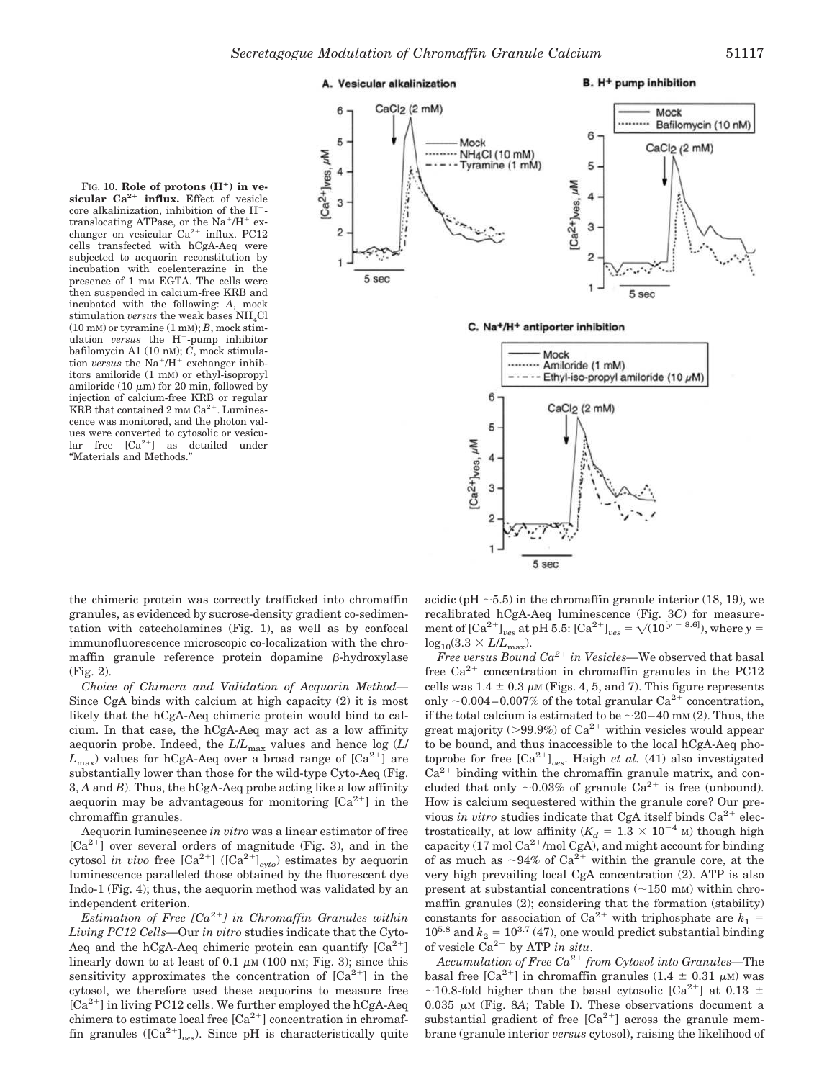## A. Vesicular alkalinization

### B. H<sup>+</sup> pump inhibition

FIG. 10. Role of protons (H<sup>+</sup>) in ve**sicular Ca2 influx.** Effect of vesicle core alkalinization, inhibition of the H- translocating ATPase, or the Na<sup>+</sup>/H<sup>+</sup> exchanger on vesicular  $Ca^{2+}$  influx. PC12 cells transfected with hCgA-Aeq were subjected to aequorin reconstitution by incubation with coelenterazine in the presence of 1 mM EGTA. The cells were then suspended in calcium-free KRB and incubated with the following: *A*, mock stimulation *versus* the weak bases NH<sub>4</sub>Cl (10 mM) or tyramine (1 mM); *B*, mock stimulation *versus* the H<sup>+</sup>-pump inhibitor bafilomycin A1 (10 nM); *C*, mock stimulation *versus* the  $Na^+ / H^+$  exchanger inhibitors amiloride (1 mM) or ethyl-isopropyl amiloride  $(10 \mu m)$  for 20 min, followed by injection of calcium-free KRB or regular KRB that contained  $2 \text{ mm Ca}^{2+}$ . Luminescence was monitored, and the photon values were converted to cytosolic or vesicu $lar$  free  $[Ca^{2+}]$  as detailed under "Materials and Methods."



C. Na+/H+ antiporter inhibition



the chimeric protein was correctly trafficked into chromaffin granules, as evidenced by sucrose-density gradient co-sedimentation with catecholamines (Fig. 1), as well as by confocal immunofluorescence microscopic co-localization with the chromaffin granule reference protein dopamine  $\beta$ -hydroxylase (Fig. 2).

*Choice of Chimera and Validation of Aequorin Method—* Since CgA binds with calcium at high capacity (2) it is most likely that the hCgA-Aeq chimeric protein would bind to calcium. In that case, the hCgA-Aeq may act as a low affinity aequorin probe. Indeed, the *L*/*L*max values and hence log (*L*/  $L_{\text{max}}$ ) values for hCgA-Aeq over a broad range of  $\lbrack Ca^{2+} \rbrack$  are substantially lower than those for the wild-type Cyto-Aeq (Fig. 3, *A* and *B*). Thus, the hCgA-Aeq probe acting like a low affinity aequorin may be advantageous for monitoring  $[Ca^{2+}]$  in the chromaffin granules.

Aequorin luminescence *in vitro* was a linear estimator of free  $[Ca^{2+}]$  over several orders of magnitude (Fig. 3), and in the cytosol *in vivo* free  $\left[\text{Ca}^{2+}\right]$  ( $\left[\text{Ca}^{2+}\right]_{\text{cyto}}$ ) estimates by aequorin luminescence paralleled those obtained by the fluorescent dye Indo-1 (Fig. 4); thus, the aequorin method was validated by an independent criterion.

*Estimation of Free [Ca2*- *] in Chromaffin Granules within Living PC12 Cells—*Our *in vitro* studies indicate that the Cyto-Aeq and the hCgA-Aeq chimeric protein can quantify  $[Ca^{2+}]$ linearly down to at least of 0.1  $\mu$ m (100 nm; Fig. 3); since this sensitivity approximates the concentration of  $[Ca^{2+}]$  in the cytosol, we therefore used these aequorins to measure free [Ca<sup>2+</sup>] in living PC12 cells. We further employed the hCgA-Aeq chimera to estimate local free [Ca<sup>2+</sup>] concentration in chromaffin granules ( $\left[Ca^{2+}\right]_{ves}$ ). Since pH is characteristically quite

acidic (pH  $\sim$  5.5) in the chromaffin granule interior (18, 19), we recalibrated hCgA-Aeq luminescence (Fig. 3*C*) for measurement of  $[Ca^{2+}]_{ves}$  at pH 5.5:  $[Ca^{2+}]_{ves} = \sqrt{(10^{[y - 8.6]})}$ , where  $y =$  $log_{10}(3.3 \times L/L_{\text{max}})$ .

*Free versus Bound Ca2*- *in Vesicles—*We observed that basal free  $Ca^{2+}$  concentration in chromaffin granules in the PC12 cells was  $1.4 \pm 0.3 \mu$ M (Figs. 4, 5, and 7). This figure represents only  $\sim$  0.004–0.007% of the total granular Ca<sup>2+</sup> concentration, if the total calcium is estimated to be  $\sim$  20–40 mm (2). Thus, the great majority ( $>99.9\%$ ) of Ca<sup>2+</sup> within vesicles would appear to be bound, and thus inaccessible to the local hCgA-Aeq photoprobe for free  $[Ca^{2+}]_{ves}$ . Haigh *et al.* (41) also investigated  $Ca<sup>2+</sup>$  binding within the chromaffin granule matrix, and concluded that only  $\sim 0.03\%$  of granule Ca<sup>2+</sup> is free (unbound). How is calcium sequestered within the granule core? Our previous *in vitro* studies indicate that CgA itself binds  $Ca^{2+}$  electrostatically, at low affinity  $(K_d = 1.3 \times 10^{-4} \text{ M})$  though high capacity (17 mol  $Ca^{2+}/mol$  CgA), and might account for binding of as much as  $\sim 94\%$  of Ca<sup>2+</sup> within the granule core, at the very high prevailing local CgA concentration (2). ATP is also present at substantial concentrations  $(\sim 150 \text{ mm})$  within chromaffin granules (2); considering that the formation (stability) constants for association of  $Ca^{2+}$  with triphosphate are  $k_1 =$  $10^{5.8}$  and  $k_2 = 10^{3.7}$  (47), one would predict substantial binding of vesicle  $\text{Ca}^{2+}$  by ATP in situ.

*Accumulation of Free Ca2*- *from Cytosol into Granules—*The basal free  $\lbrack Ca^{2+} \rbrack$  in chromaffin granules  $(1.4 \pm 0.31 \mu)$  was ~10.8-fold higher than the basal cytosolic [Ca<sup>2+</sup>] at 0.13  $\pm$  $0.035 \mu M$  (Fig. 8A; Table I). These observations document a substantial gradient of free  $[Ca^{2+}]$  across the granule membrane (granule interior *versus* cytosol), raising the likelihood of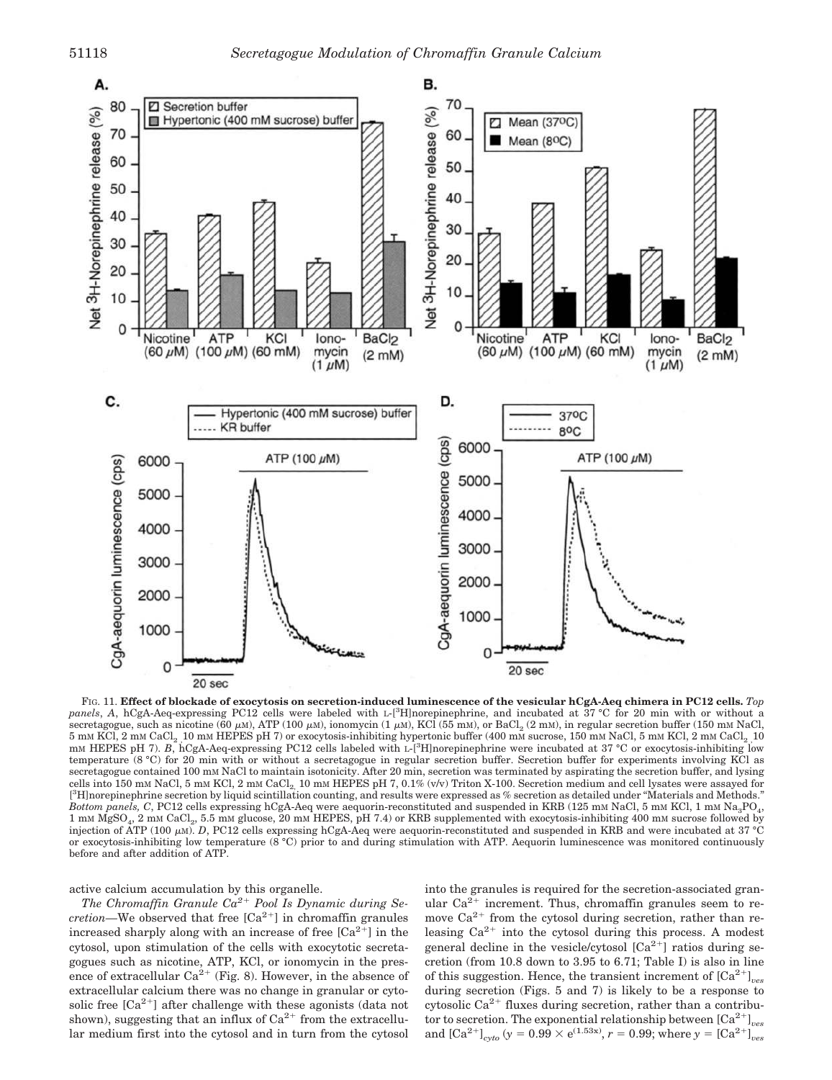

FIG. 11. **Effect of blockade of exocytosis on secretion-induced luminescence of the vesicular hCgA-Aeq chimera in PC12 cells.** *Top panels*, *A*, hCgA-Aeq-expressing PC12 cells were labeled with <sup>L</sup>-[3H]norepinephrine, and incubated at 37 °C for 20 min with or without a  $s$ ecretagogue, such as nicotine (60  $\mu$ м),  $ATP(100 \mu$ м), ionomycin (1  $\mu$ м), KCl (55 mM), or BaCl $_2$  (2 mM), in regular secretion buffer (150 mM NaCl, 5 mM KCl, 2 mM CaCl<sub>2</sub> 10 mM HEPES pH 7) or exocytosis-inhibiting hypertonic buffer (400 mM sucrose, 150 mM NaCl, 5 mM KCl, 2 mM CaCl<sub>2</sub> 10 mM HEPES pH 7). *B*, hCgA-Aeq-expressing PC12 cells labeled with L-[<sup>3</sup>H]norepinephrine were incubated at 37 °C or exocytosis-inhibiting low temperature (8 °C) for 20 min with or without a secretagogue in regular secretion buffer. Secretion buffer for experiments involving KCl as secretagogue contained 100 mm NaCl to maintain isotonicity. After 20 min, secretion was terminated by aspirating the secretion buffer, and lysing cells into 150 m<sup>M</sup> NaCl, 5 m<sup>M</sup> KCl, 2 m<sup>M</sup> CaCl2, 10 m<sup>M</sup> HEPES pH 7, 0.1% (v/v) Triton X-100. Secretion medium and cell lysates were assayed for [ <sup>3</sup>H]norepinephrine secretion by liquid scintillation counting, and results were expressed as % secretion as detailed under "Materials and Methods." *Bottom panels, C,* PC12 cells expressing hCgA-Aeq were aequorin-reconstituted and suspended in KRB (125 mm NaCl, 5 mm KCl, 1 mm Na<sub>3</sub>PO<sub>4</sub>, 1 mM MgSO<sub>4</sub>, 2 mM CaCl<sub>2</sub>, 5.5 mM glucose, 20 mM HEPES, pH 7.4) or KRB supplemented with exocytosis-inhibiting 400 mM sucrose followed by injection of ATP (100 µm). *D*, PC12 cells expressing hCgA-Aeq were aequorin-reconstituted and suspended in KRB and were incubated at 37 °C or exocytosis-inhibiting low temperature (8 °C) prior to and during stimulation with ATP. Aequorin luminescence was monitored continuously before and after addition of ATP.

active calcium accumulation by this organelle.

*The Chromaffin Granule Ca2*- *Pool Is Dynamic during Secretion*—We observed that free [Ca<sup>2+</sup>] in chromaffin granules increased sharply along with an increase of free  $[Ca^{2+}]$  in the cytosol, upon stimulation of the cells with exocytotic secretagogues such as nicotine, ATP, KCl, or ionomycin in the presence of extracellular  $Ca^{2+}$  (Fig. 8). However, in the absence of extracellular calcium there was no change in granular or cytosolic free  $[Ca^{2+}]$  after challenge with these agonists (data not shown), suggesting that an influx of  $Ca^{2+}$  from the extracellular medium first into the cytosol and in turn from the cytosol into the granules is required for the secretion-associated granular  $Ca^{2+}$  increment. Thus, chromaffin granules seem to remove  $Ca^{2+}$  from the cytosol during secretion, rather than releasing  $Ca^{2+}$  into the cytosol during this process. A modest general decline in the vesicle/cytosol  $[Ca^{2+}]$  ratios during secretion (from 10.8 down to 3.95 to 6.71; Table I) is also in line of this suggestion. Hence, the transient increment of  $\left[Ca^{2+}\right]_{ves}$ during secretion (Figs. 5 and 7) is likely to be a response to cytosolic Ca<sup>2+</sup> fluxes during secretion, rather than a contributor to secretion. The exponential relationship between  $\text{[Ca}^{2+}\text{]}_{ves}$ and  $[Ca^{2+}]_{cyto}$  ( $y = 0.99 \times e^{(1.53x)}$ ,  $r = 0.99$ ; where  $y = [Ca^{2+}]_{ves}$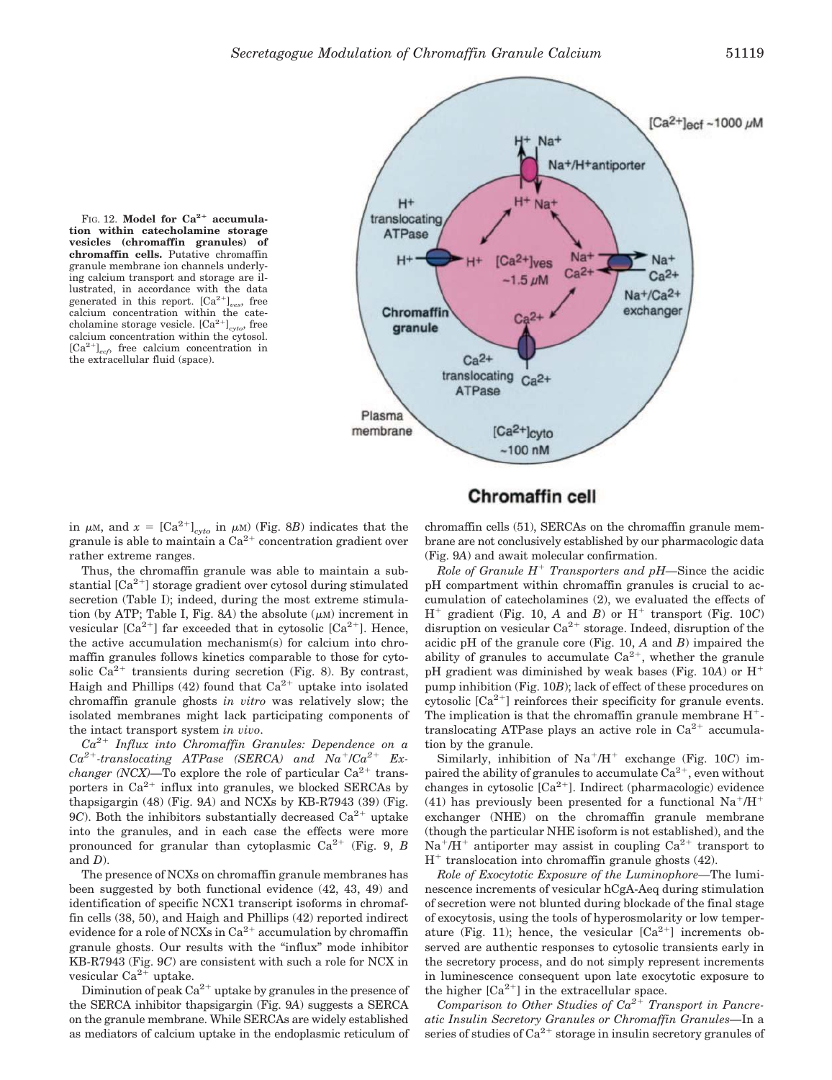FIG. 12. Model for Ca<sup>2+</sup> accumula**tion within catecholamine storage vesicles (chromaffin granules) of chromaffin cells.** Putative chromaffin granule membrane ion channels underlying calcium transport and storage are illustrated, in accordance with the data generated in this report.  $[Ca^{2+}]_{ves}$ , free calcium concentration within the catecholamine storage vesicle. [Ca2- ]*cyto*, free calcium concentration within the cytosol.  $[Ca^{2+}]_{ecf}$  free calcium concentration in the extracellular fluid (space).



# **Chromaffin cell**

in  $\mu$ M, and  $x = [Ca^{2+}]_{cyto}$  in  $\mu$ M) (Fig. 8*B*) indicates that the granule is able to maintain a  $Ca^{2+}$  concentration gradient over rather extreme ranges.

Thus, the chromaffin granule was able to maintain a substantial  $[Ca^{2+}]$  storage gradient over cytosol during stimulated secretion (Table I); indeed, during the most extreme stimulation (by ATP; Table I, Fig. 8A) the absolute  $(\mu M)$  increment in vesicular  $[Ca^{2+}]$  far exceeded that in cytosolic  $[Ca^{2+}]$ . Hence, the active accumulation mechanism(s) for calcium into chromaffin granules follows kinetics comparable to those for cytosolic  $Ca^{2+}$  transients during secretion (Fig. 8). By contrast, Haigh and Phillips  $(42)$  found that  $Ca^{2+}$  uptake into isolated chromaffin granule ghosts *in vitro* was relatively slow; the isolated membranes might lack participating components of the intact transport system *in vivo*.

*Ca2*- *Influx into Chromaffin Granules: Dependence on a*  $Ca^{2+}$ -translocating ATPase (SERCA) and  $Na^{+}/Ca^{2+}$  Ex*changer (NCX)*—To explore the role of particular  $Ca^{2+}$  transporters in  $Ca^{2+}$  influx into granules, we blocked SERCAs by thapsigargin (48) (Fig. 9*A*) and NCXs by KB-R7943 (39) (Fig.  $9C$ ). Both the inhibitors substantially decreased  $Ca<sup>2+</sup>$  uptake into the granules, and in each case the effects were more pronounced for granular than cytoplasmic  $Ca^{2+}$  (Fig. 9, *B*) and *D*).

The presence of NCXs on chromaffin granule membranes has been suggested by both functional evidence (42, 43, 49) and identification of specific NCX1 transcript isoforms in chromaffin cells (38, 50), and Haigh and Phillips (42) reported indirect evidence for a role of NCXs in  $Ca^{2+}$  accumulation by chromaffin granule ghosts. Our results with the "influx" mode inhibitor KB-R7943 (Fig. 9*C*) are consistent with such a role for NCX in vesicular Ca<sup>2+</sup> uptake.

Diminution of peak  $Ca^{2+}$  uptake by granules in the presence of the SERCA inhibitor thapsigargin (Fig. 9*A*) suggests a SERCA on the granule membrane. While SERCAs are widely established as mediators of calcium uptake in the endoplasmic reticulum of

chromaffin cells (51), SERCAs on the chromaffin granule membrane are not conclusively established by our pharmacologic data (Fig. 9*A*) and await molecular confirmation.

*Role of Granule H*- *Transporters and pH—*Since the acidic pH compartment within chromaffin granules is crucial to accumulation of catecholamines (2), we evaluated the effects of  $H^+$  gradient (Fig. 10, *A* and *B*) or  $H^+$  transport (Fig. 10*C*) disruption on vesicular  $Ca^{2+}$  storage. Indeed, disruption of the acidic pH of the granule core (Fig. 10, *A* and *B*) impaired the ability of granules to accumulate  $Ca^{2+}$ , whether the granule pH gradient was diminished by weak bases (Fig. 10*A*) or Hpump inhibition (Fig. 10*B*); lack of effect of these procedures on cytosolic  $[Ca^{2+}]$  reinforces their specificity for granule events. The implication is that the chromaffin granule membrane  $H^+$ translocating ATPase plays an active role in  $Ca^{2+}$  accumulation by the granule.

Similarly, inhibition of Na<sup>+</sup>/H<sup>+</sup> exchange (Fig. 10*C*) impaired the ability of granules to accumulate  $Ca^{2+}$ , even without changes in cytosolic  $[Ca^{2+}]$ . Indirect (pharmacologic) evidence (41) has previously been presented for a functional  $Na^+/H^+$ exchanger (NHE) on the chromaffin granule membrane (though the particular NHE isoform is not established), and the  $Na<sup>+</sup>/H<sup>+</sup>$  antiporter may assist in coupling  $Ca<sup>2+</sup>$  transport to H- translocation into chromaffin granule ghosts (42).

*Role of Exocytotic Exposure of the Luminophore—*The luminescence increments of vesicular hCgA-Aeq during stimulation of secretion were not blunted during blockade of the final stage of exocytosis, using the tools of hyperosmolarity or low temperature (Fig. 11); hence, the vesicular  $[Ca^{2+}]$  increments observed are authentic responses to cytosolic transients early in the secretory process, and do not simply represent increments in luminescence consequent upon late exocytotic exposure to the higher  $[Ca^{2+}]$  in the extracellular space.

*Comparison to Other Studies of Ca2*- *Transport in Pancreatic Insulin Secretory Granules or Chromaffin Granules—*In a series of studies of  $Ca^{2+}$  storage in insulin secretory granules of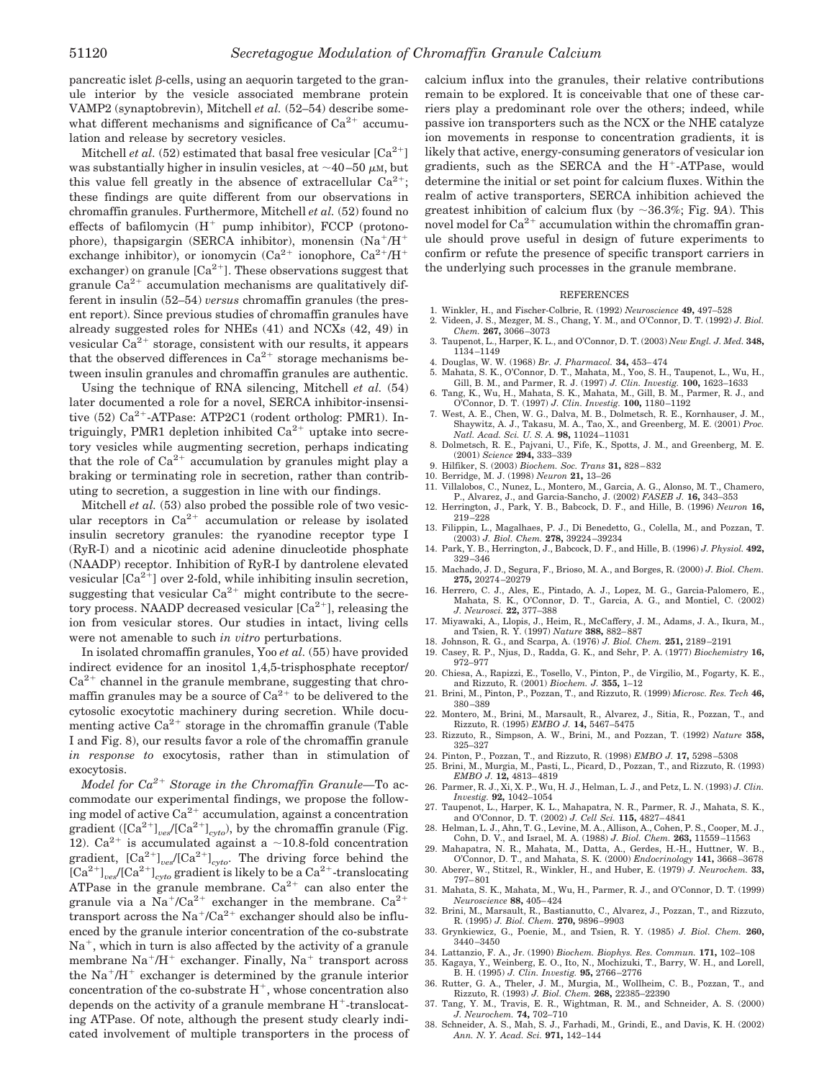pancreatic islet  $\beta$ -cells, using an aequorin targeted to the granule interior by the vesicle associated membrane protein VAMP2 (synaptobrevin), Mitchell *et al.* (52–54) describe somewhat different mechanisms and significance of  $Ca^{2+}$  accumulation and release by secretory vesicles.

Mitchell *et al.*  $(52)$  estimated that basal free vesicular  $[Ca^{2+}]$ was substantially higher in insulin vesicles, at  $\sim$ 40–50  $\mu$ M, but this value fell greatly in the absence of extracellular  $Ca^{2+}$ ; these findings are quite different from our observations in chromaffin granules. Furthermore, Mitchell *et al.* (52) found no effects of bafilomycin  $(H^+$  pump inhibitor), FCCP (protonophore), thapsigargin (SERCA inhibitor), monensin (Na+/H+ exchange inhibitor), or ionomycin  $(Ca^{2+})$ ionophore,  $Ca^{2+}/H^+$ exchanger) on granule  $[Ca^{2+}]$ . These observations suggest that granule Ca<sup>2+</sup> accumulation mechanisms are qualitatively different in insulin (52–54) *versus* chromaffin granules (the present report). Since previous studies of chromaffin granules have already suggested roles for NHEs (41) and NCXs (42, 49) in vesicular  $Ca^{2+}$  storage, consistent with our results, it appears that the observed differences in  $Ca^{2+}$  storage mechanisms between insulin granules and chromaffin granules are authentic.

Using the technique of RNA silencing, Mitchell *et al.* (54) later documented a role for a novel, SERCA inhibitor-insensitive  $(52)$   $Ca^{2+}-ATPase$ : ATP2C1 (rodent ortholog: PMR1). Intriguingly, PMR1 depletion inhibited  $Ca^{2+}$  uptake into secretory vesicles while augmenting secretion, perhaps indicating that the role of  $Ca^{2+}$  accumulation by granules might play a braking or terminating role in secretion, rather than contributing to secretion, a suggestion in line with our findings.

Mitchell *et al.* (53) also probed the possible role of two vesicular receptors in  $Ca^{2+}$  accumulation or release by isolated insulin secretory granules: the ryanodine receptor type I (RyR-I) and a nicotinic acid adenine dinucleotide phosphate (NAADP) receptor. Inhibition of RyR-I by dantrolene elevated vesicular  $[Ca^{2+}]$  over 2-fold, while inhibiting insulin secretion, suggesting that vesicular  $Ca^{2+}$  might contribute to the secretory process. NAADP decreased vesicular  $[Ca^{2+}]$ , releasing the ion from vesicular stores. Our studies in intact, living cells were not amenable to such *in vitro* perturbations.

In isolated chromaffin granules, Yoo *et al.* (55) have provided indirect evidence for an inositol 1,4,5-trisphosphate receptor/  $Ca<sup>2+</sup>$  channel in the granule membrane, suggesting that chromaffin granules may be a source of  $Ca^{2+}$  to be delivered to the cytosolic exocytotic machinery during secretion. While documenting active  $Ca^{2+}$  storage in the chromaffin granule (Table I and Fig. 8), our results favor a role of the chromaffin granule *in response to* exocytosis, rather than in stimulation of exocytosis.

*Model for Ca2*- *Storage in the Chromaffin Granule—*To accommodate our experimental findings, we propose the following model of active  $Ca^{2+}$  accumulation, against a concentration gradient ( $\left[\text{Ca}^{2+}\right]_{\text{ves}}/\left[\text{Ca}^{2+}\right]_{\text{cyto}}$ ), by the chromaffin granule (Fig. 12).  $Ca^{2+}$  is accumulated against a ~10.8-fold concentration gradient,  $[Ca^{2+}]_{ves}/[Ca^{2+}]_{cyto}$ . The driving force behind the  $\overline{[Ca^{2+}]}_{ves}/[Ca^{2+}]}_{cyto}$  gradient is likely to be a  $Ca^{2+}$ -translocating ATPase in the granule membrane.  $Ca^{2+}$  can also enter the granule via a  $Na^+/Ca^{2+}$  exchanger in the membrane.  $Ca^{2+}$ transport across the  $Na^+/Ca^{2+}$  exchanger should also be influenced by the granule interior concentration of the co-substrate Na<sup>+</sup>, which in turn is also affected by the activity of a granule membrane Na<sup>+</sup>/H<sup>+</sup> exchanger. Finally, Na<sup>+</sup> transport across the  $Na<sup>+</sup>/H<sup>+</sup>$  exchanger is determined by the granule interior concentration of the co-substrate  $H^+$ , whose concentration also depends on the activity of a granule membrane  $H^+$ -translocating ATPase. Of note, although the present study clearly indicated involvement of multiple transporters in the process of

calcium influx into the granules, their relative contributions remain to be explored. It is conceivable that one of these carriers play a predominant role over the others; indeed, while passive ion transporters such as the NCX or the NHE catalyze ion movements in response to concentration gradients, it is likely that active, energy-consuming generators of vesicular ion gradients, such as the SERCA and the H<sup>+</sup>-ATPase, would determine the initial or set point for calcium fluxes. Within the realm of active transporters, SERCA inhibition achieved the greatest inhibition of calcium flux (by  $\sim$ 36.3%; Fig. 9*A*). This novel model for  $Ca^{2+}$  accumulation within the chromaffin granule should prove useful in design of future experiments to confirm or refute the presence of specific transport carriers in the underlying such processes in the granule membrane.

#### **REFERENCES**

- 1. Winkler, H., and Fischer-Colbrie, R. (1992) *Neuroscience* **49,** 497–528 2. Videen, J. S., Mezger, M. S., Chang, Y. M., and O'Connor, D. T. (1992) *J. Biol. Chem.* **267,** 3066–3073
- 3. Taupenot, L., Harper, K. L., and O'Connor, D. T. (2003) *New Engl. J. Med.* **348,** 1134–1149
- 4. Douglas, W. W. (1968) *Br. J. Pharmacol.* **34,** 453–474
- 5. Mahata, S. K., O'Connor, D. T., Mahata, M., Yoo, S. H., Taupenot, L., Wu, H., Gill, B. M., and Parmer, R. J. (1997) J. Clin. Investig. 100, 1623–1633<br>6. Tang, K., Wu, H., Mahata, S. K., Mahata, M., Gill, B. M., Parmer,
- O'Connor, D. T. (1997) *J. Clin. Investig.* **100,** 1180–1192
- 7. West, A. E., Chen, W. G., Dalva, M. B., Dolmetsch, R. E., Kornhauser, J. M., Shaywitz, A. J., Takasu, M. A., Tao, X., and Greenberg, M. E. (2001) *Proc. Natl. Acad. Sci. U. S. A.* **98,** 11024–11031
- 8. Dolmetsch, R. E., Pajvani, U., Fife, K., Spotts, J. M., and Greenberg, M. E. (2001) *Science* **294,** 333–339
- 9. Hilfiker, S. (2003) *Biochem. Soc. Trans* **31,** 828–832
- 10. Berridge, M. J. (1998) *Neuron* **21,** 13–26
- 11. Villalobos, C., Nunez, L., Montero, M., Garcia, A. G., Alonso, M. T., Chamero, P., Alvarez, J., and Garcia-Sancho, J. (2002) *FASEB J.* **16,** 343–353
- 12. Herrington, J., Park, Y. B., Babcock, D. F., and Hille, B. (1996) *Neuron* **16,** 219–228
- 13. Filippin, L., Magalhaes, P. J., Di Benedetto, G., Colella, M., and Pozzan, T. (2003) *J. Biol. Chem.* **278,** 39224–39234
- 14. Park, Y. B., Herrington, J., Babcock, D. F., and Hille, B. (1996) *J. Physiol.* **492,** 329–346
- 15. Machado, J. D., Segura, F., Brioso, M. A., and Borges, R. (2000) *J. Biol. Chem.* **275,** 20274–20279
- 16. Herrero, C. J., Ales, E., Pintado, A. J., Lopez, M. G., Garcia-Palomero, E., Mahata, S. K., O'Connor, D. T., Garcia, A. G., and Montiel, C. (2002) *J. Neurosci.* **22,** 377–388
- 17. Miyawaki, A., Llopis, J., Heim, R., McCaffery, J. M., Adams, J. A., Ikura, M., and Tsien, R. Y. (1997) *Nature* **388,** 882–887
- 18. Johnson, R. G., and Scarpa, A. (1976) *J. Biol. Chem.* **251,** 2189–2191
- 19. Casey, R. P., Njus, D., Radda, G. K., and Sehr, P. A. (1977) *Biochemistry* **16,** 972–977
- 20. Chiesa, A., Rapizzi, E., Tosello, V., Pinton, P., de Virgilio, M., Fogarty, K. E., and Rizzuto, R. (2001) *Biochem. J.* **355,** 1–12
- 21. Brini, M., Pinton, P., Pozzan, T., and Rizzuto, R. (1999) *Microsc. Res. Tech* **46,** 380–389
- 22. Montero, M., Brini, M., Marsault, R., Alvarez, J., Sitia, R., Pozzan, T., and Rizzuto, R. (1995) *EMBO J.* **14,** 5467–5475
- 23. Rizzuto, R., Simpson, A. W., Brini, M., and Pozzan, T. (1992) *Nature* **358,** 325–327
- 24. Pinton, P., Pozzan, T., and Rizzuto, R. (1998) *EMBO J.* **17,** 5298–5308
- 25. Brini, M., Murgia, M., Pasti, L., Picard, D., Pozzan, T., and Rizzuto, R. (1993) *EMBO J.* **12,** 4813–4819
- 26. Parmer, R. J., Xi, X. P., Wu, H. J., Helman, L. J., and Petz, L. N. (1993) *J. Clin. Investig.* **92,** 1042–1054
- 27. Taupenot, L., Harper, K. L., Mahapatra, N. R., Parmer, R. J., Mahata, S. K., and O'Connor, D. T. (2002) *J. Cell Sci.* **115,** 4827–4841
- 28. Helman, L. J., Ahn, T. G., Levine, M. A., Allison, A., Cohen, P. S., Cooper, M. J., Cohn, D. V., and Israel, M. A. (1988) *J. Biol. Chem.* **263,** 11559–11563
- 29. Mahapatra, N. R., Mahata, M., Datta, A., Gerdes, H.-H., Huttner, W. B., O'Connor, D. T., and Mahata, S. K. (2000) *Endocrinology* **141,** 3668–3678 30. Aberer, W., Stitzel, R., Winkler, H., and Huber, E. (1979) *J. Neurochem.* **33,**
- 797–801 31. Mahata, S. K., Mahata, M., Wu, H., Parmer, R. J., and O'Connor, D. T. (1999)
- *Neuroscience* **88,** 405–424 32. Brini, M., Marsault, R., Bastianutto, C., Alvarez, J., Pozzan, T., and Rizzuto,
- R. (1995) *J. Biol. Chem.* **270,** 9896–9903
- 33. Grynkiewicz, G., Poenie, M., and Tsien, R. Y. (1985) *J. Biol. Chem.* **260,** 3440–3450
- 34. Lattanzio, F. A., Jr. (1990) *Biochem. Biophys. Res. Commun.* **171,** 102–108
- 35. Kagaya, Y., Weinberg, E. O., Ito, N., Mochizuki, T., Barry, W. H., and Lorell, B. H. (1995) *J. Clin. Investig.* **95,** 2766–2776
- 36. Rutter, G. A., Theler, J. M., Murgia, M., Wollheim, C. B., Pozzan, T., and Rizzuto, R. (1993) *J. Biol. Chem.* **268,** 22385–22390
- 37. Tang, Y. M., Travis, E. R., Wightman, R. M., and Schneider, A. S. (2000) *J. Neurochem.* **74,** 702–710
- 38. Schneider, A. S., Mah, S. J., Farhadi, M., Grindi, E., and Davis, K. H. (2002) *Ann. N. Y. Acad. Sci.* **971,** 142–144